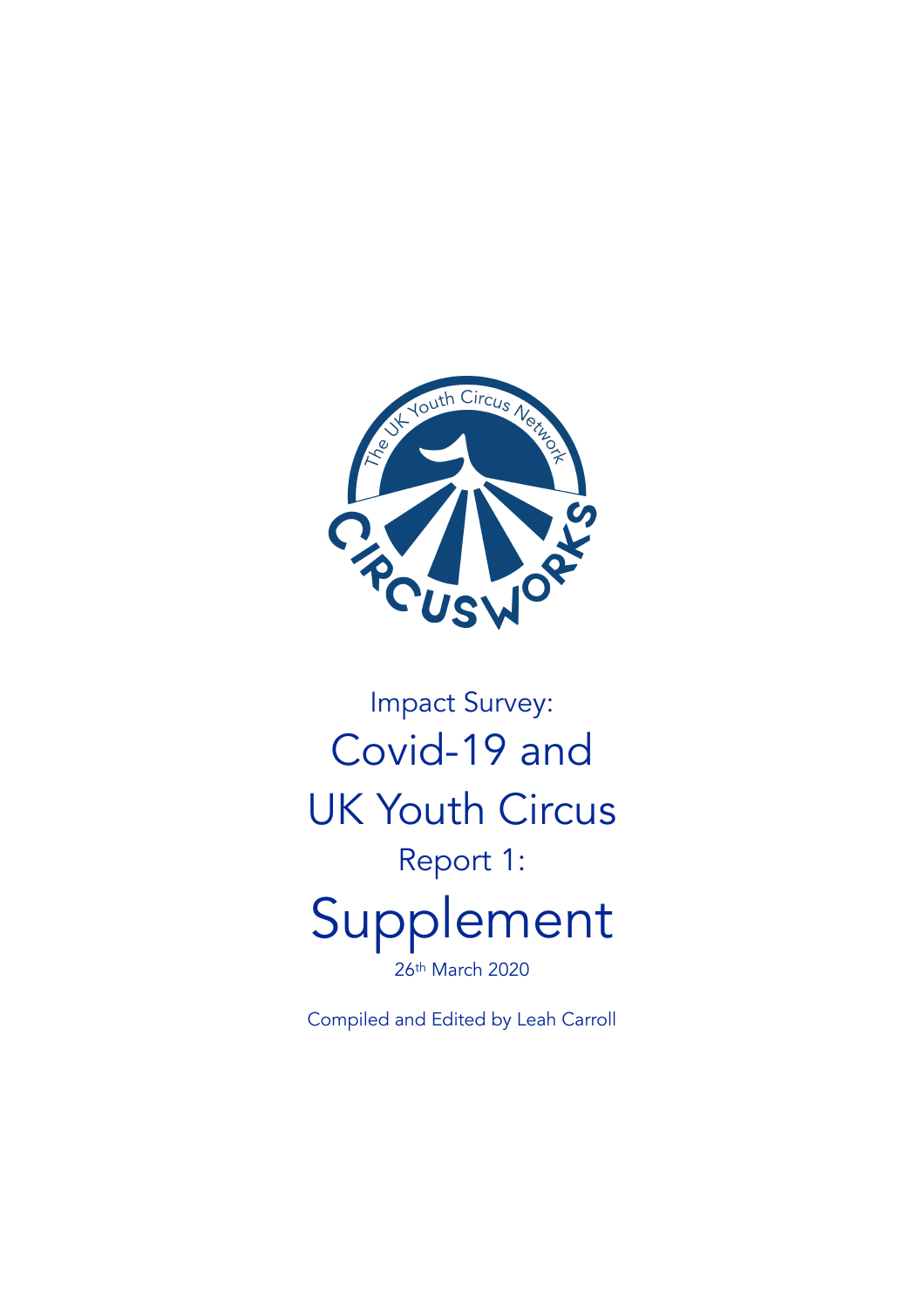

# Impact Survey: Covid-19 and UK Youth Circus Report 1: Supplement

26th March 2020

Compiled and Edited by Leah Carroll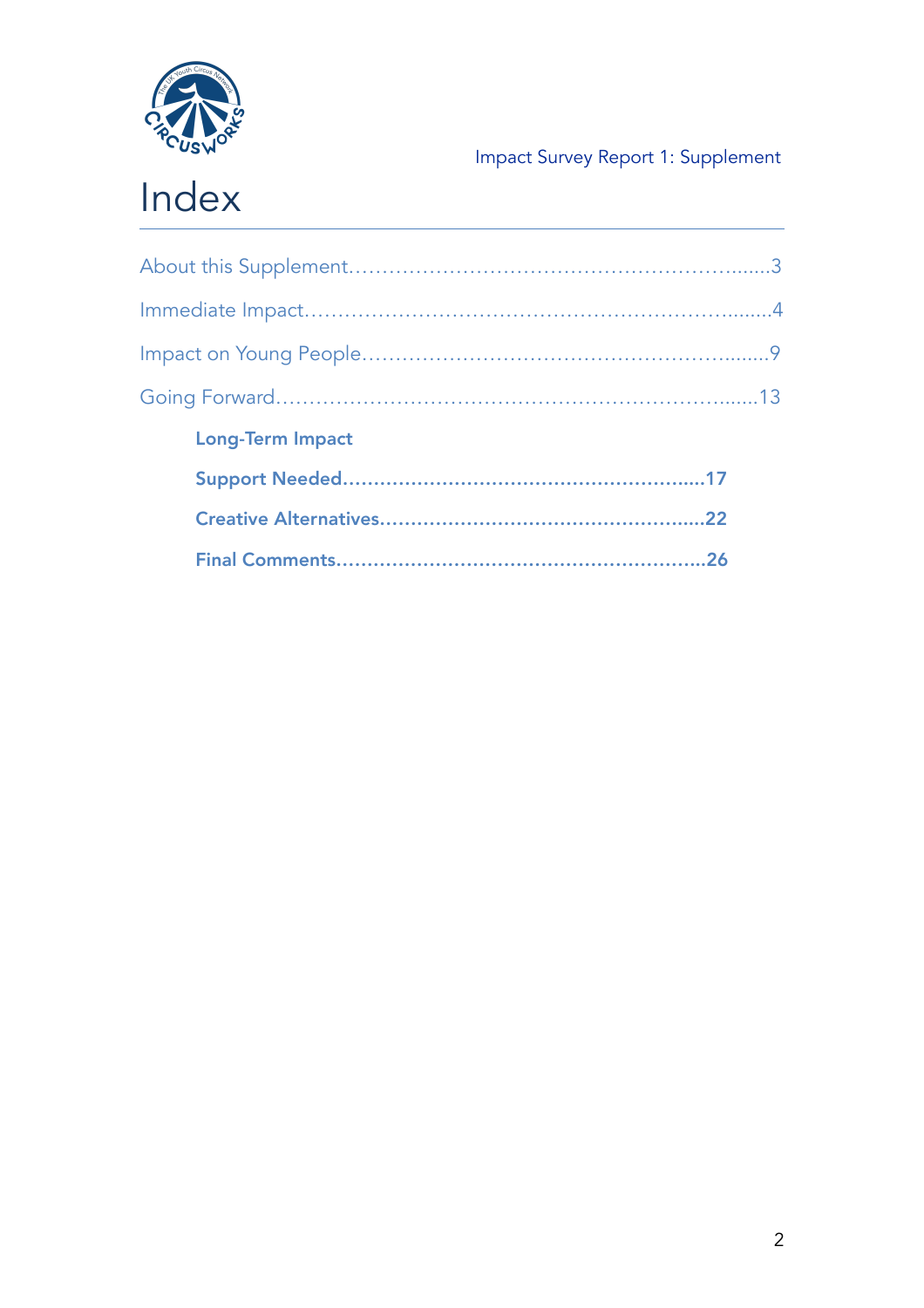

| <b>Long-Term Impact</b> |  |
|-------------------------|--|
|                         |  |
|                         |  |
|                         |  |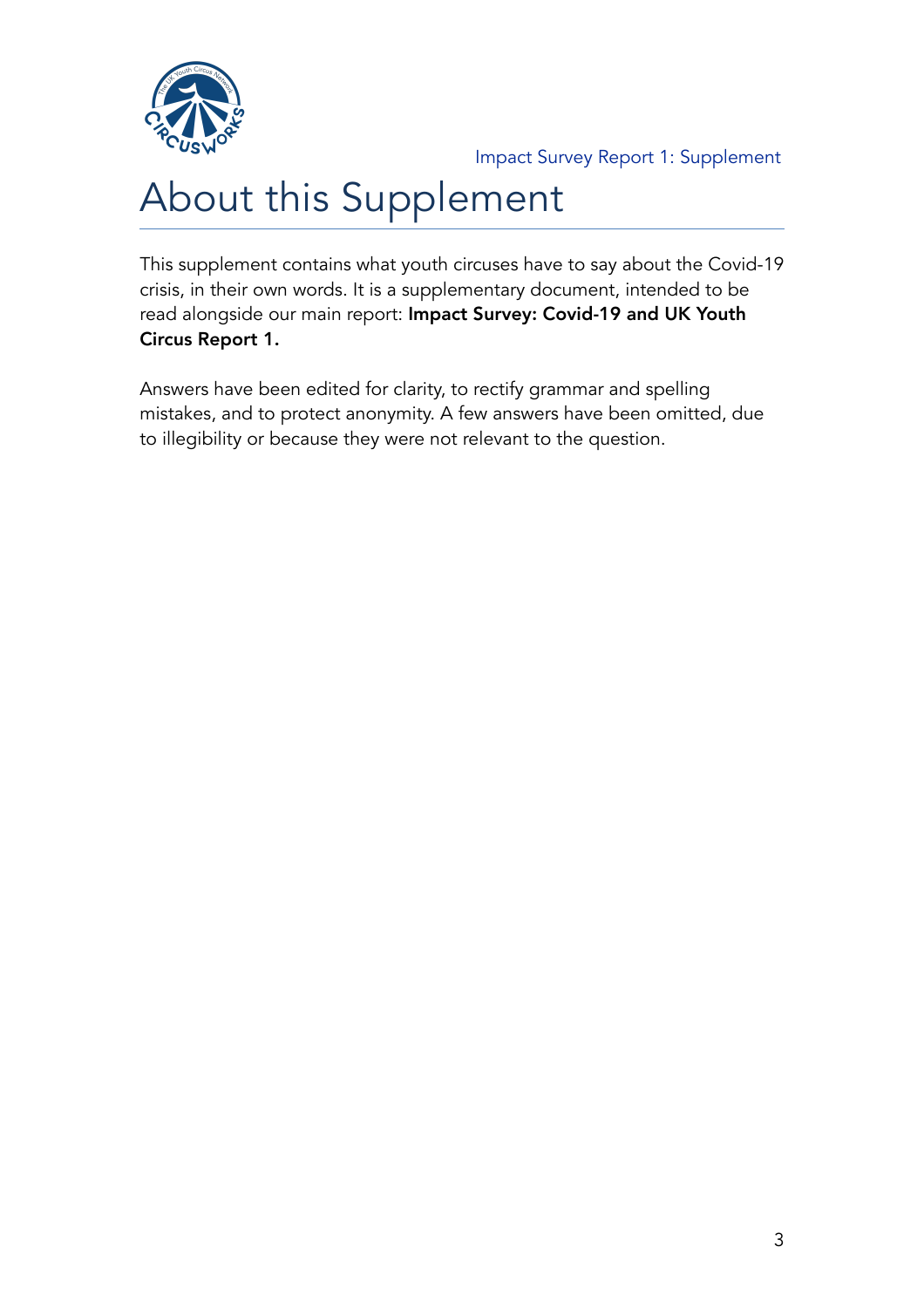

# About this Supplement

This supplement contains what youth circuses have to say about the Covid-19 crisis, in their own words. It is a supplementary document, intended to be read alongside our main report: Impact Survey: Covid-19 and UK Youth Circus Report 1.

Answers have been edited for clarity, to rectify grammar and spelling mistakes, and to protect anonymity. A few answers have been omitted, due to illegibility or because they were not relevant to the question.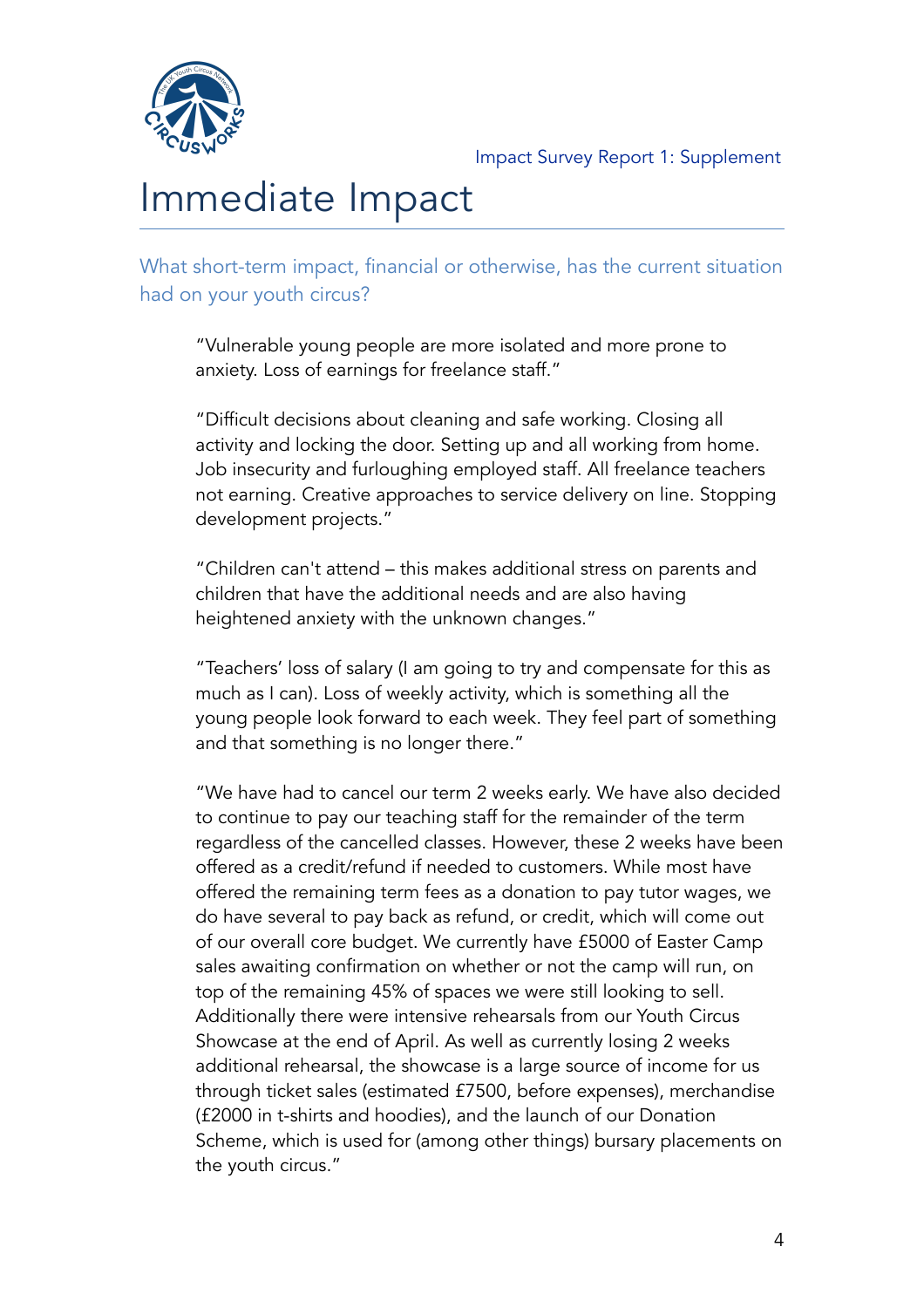

# Immediate Impact

What short-term impact, financial or otherwise, has the current situation had on your youth circus?

"Vulnerable young people are more isolated and more prone to anxiety. Loss of earnings for freelance staff."

"Difficult decisions about cleaning and safe working. Closing all activity and locking the door. Setting up and all working from home. Job insecurity and furloughing employed staff. All freelance teachers not earning. Creative approaches to service delivery on line. Stopping development projects."

"Children can't attend – this makes additional stress on parents and children that have the additional needs and are also having heightened anxiety with the unknown changes."

"Teachers' loss of salary (I am going to try and compensate for this as much as I can). Loss of weekly activity, which is something all the young people look forward to each week. They feel part of something and that something is no longer there."

"We have had to cancel our term 2 weeks early. We have also decided to continue to pay our teaching staff for the remainder of the term regardless of the cancelled classes. However, these 2 weeks have been offered as a credit/refund if needed to customers. While most have offered the remaining term fees as a donation to pay tutor wages, we do have several to pay back as refund, or credit, which will come out of our overall core budget. We currently have £5000 of Easter Camp sales awaiting confirmation on whether or not the camp will run, on top of the remaining 45% of spaces we were still looking to sell. Additionally there were intensive rehearsals from our Youth Circus Showcase at the end of April. As well as currently losing 2 weeks additional rehearsal, the showcase is a large source of income for us through ticket sales (estimated £7500, before expenses), merchandise (£2000 in t-shirts and hoodies), and the launch of our Donation Scheme, which is used for (among other things) bursary placements on the youth circus."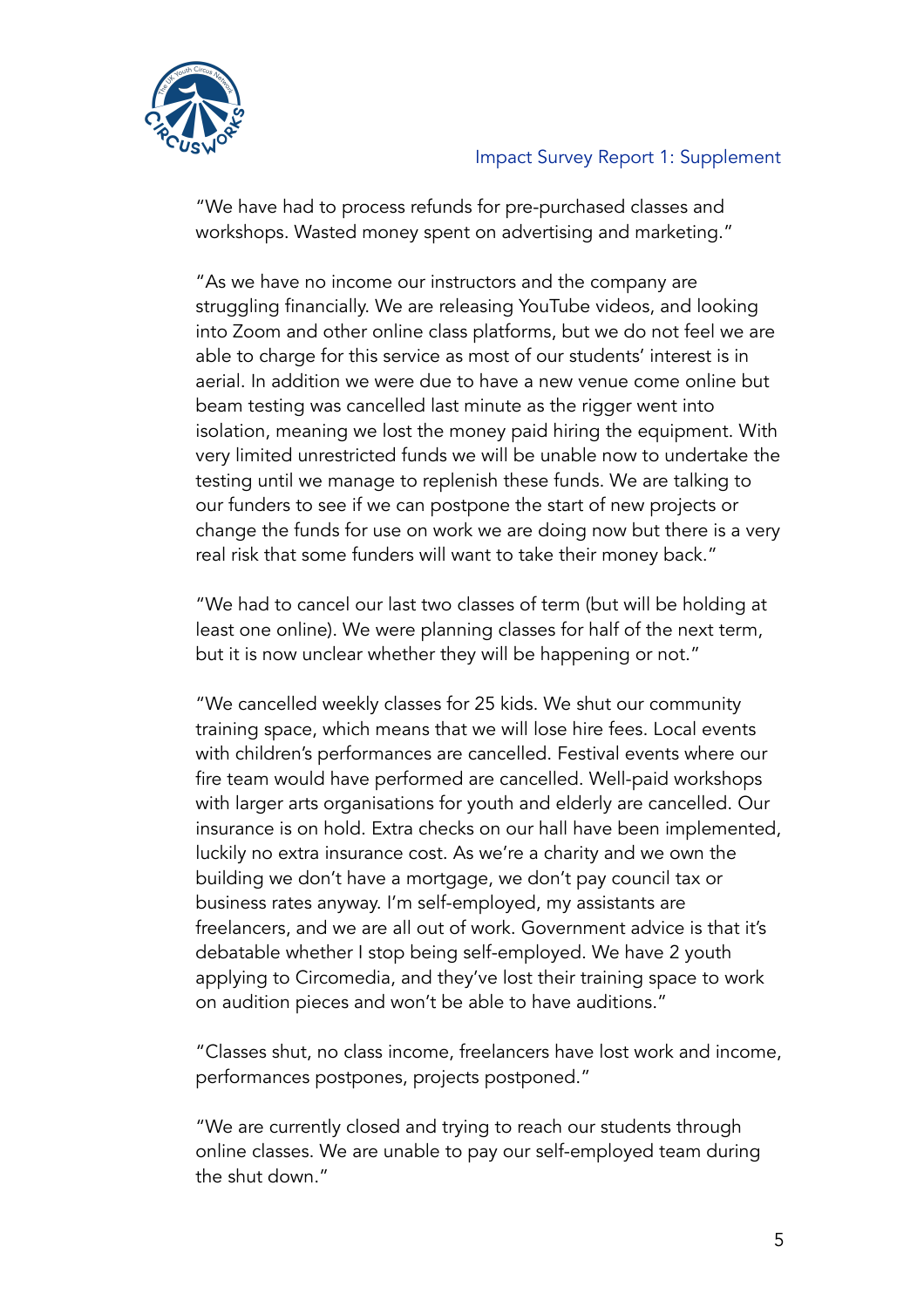

"We have had to process refunds for pre-purchased classes and workshops. Wasted money spent on advertising and marketing."

"As we have no income our instructors and the company are struggling financially. We are releasing YouTube videos, and looking into Zoom and other online class platforms, but we do not feel we are able to charge for this service as most of our students' interest is in aerial. In addition we were due to have a new venue come online but beam testing was cancelled last minute as the rigger went into isolation, meaning we lost the money paid hiring the equipment. With very limited unrestricted funds we will be unable now to undertake the testing until we manage to replenish these funds. We are talking to our funders to see if we can postpone the start of new projects or change the funds for use on work we are doing now but there is a very real risk that some funders will want to take their money back."

"We had to cancel our last two classes of term (but will be holding at least one online). We were planning classes for half of the next term, but it is now unclear whether they will be happening or not."

"We cancelled weekly classes for 25 kids. We shut our community training space, which means that we will lose hire fees. Local events with children's performances are cancelled. Festival events where our fire team would have performed are cancelled. Well-paid workshops with larger arts organisations for youth and elderly are cancelled. Our insurance is on hold. Extra checks on our hall have been implemented, luckily no extra insurance cost. As we're a charity and we own the building we don't have a mortgage, we don't pay council tax or business rates anyway. I'm self-employed, my assistants are freelancers, and we are all out of work. Government advice is that it's debatable whether I stop being self-employed. We have 2 youth applying to Circomedia, and they've lost their training space to work on audition pieces and won't be able to have auditions."

"Classes shut, no class income, freelancers have lost work and income, performances postpones, projects postponed."

"We are currently closed and trying to reach our students through online classes. We are unable to pay our self-employed team during the shut down."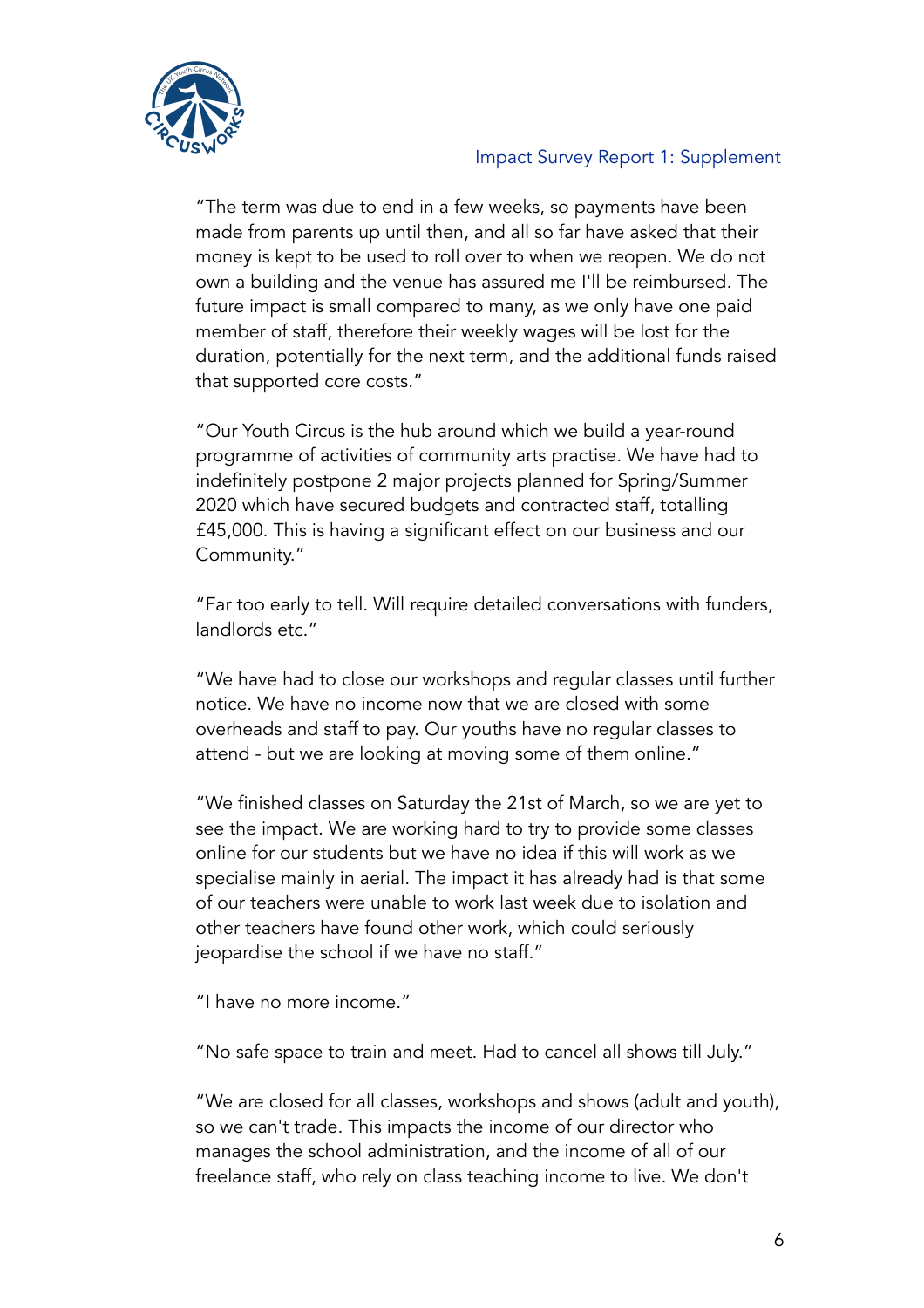

"The term was due to end in a few weeks, so payments have been made from parents up until then, and all so far have asked that their money is kept to be used to roll over to when we reopen. We do not own a building and the venue has assured me I'll be reimbursed. The future impact is small compared to many, as we only have one paid member of staff, therefore their weekly wages will be lost for the duration, potentially for the next term, and the additional funds raised that supported core costs."

"Our Youth Circus is the hub around which we build a year-round programme of activities of community arts practise. We have had to indefinitely postpone 2 major projects planned for Spring/Summer 2020 which have secured budgets and contracted staff, totalling £45,000. This is having a significant effect on our business and our Community."

"Far too early to tell. Will require detailed conversations with funders, landlords etc."

"We have had to close our workshops and regular classes until further notice. We have no income now that we are closed with some overheads and staff to pay. Our youths have no regular classes to attend - but we are looking at moving some of them online."

"We finished classes on Saturday the 21st of March, so we are yet to see the impact. We are working hard to try to provide some classes online for our students but we have no idea if this will work as we specialise mainly in aerial. The impact it has already had is that some of our teachers were unable to work last week due to isolation and other teachers have found other work, which could seriously jeopardise the school if we have no staff."

"I have no more income."

"No safe space to train and meet. Had to cancel all shows till July."

"We are closed for all classes, workshops and shows (adult and youth), so we can't trade. This impacts the income of our director who manages the school administration, and the income of all of our freelance staff, who rely on class teaching income to live. We don't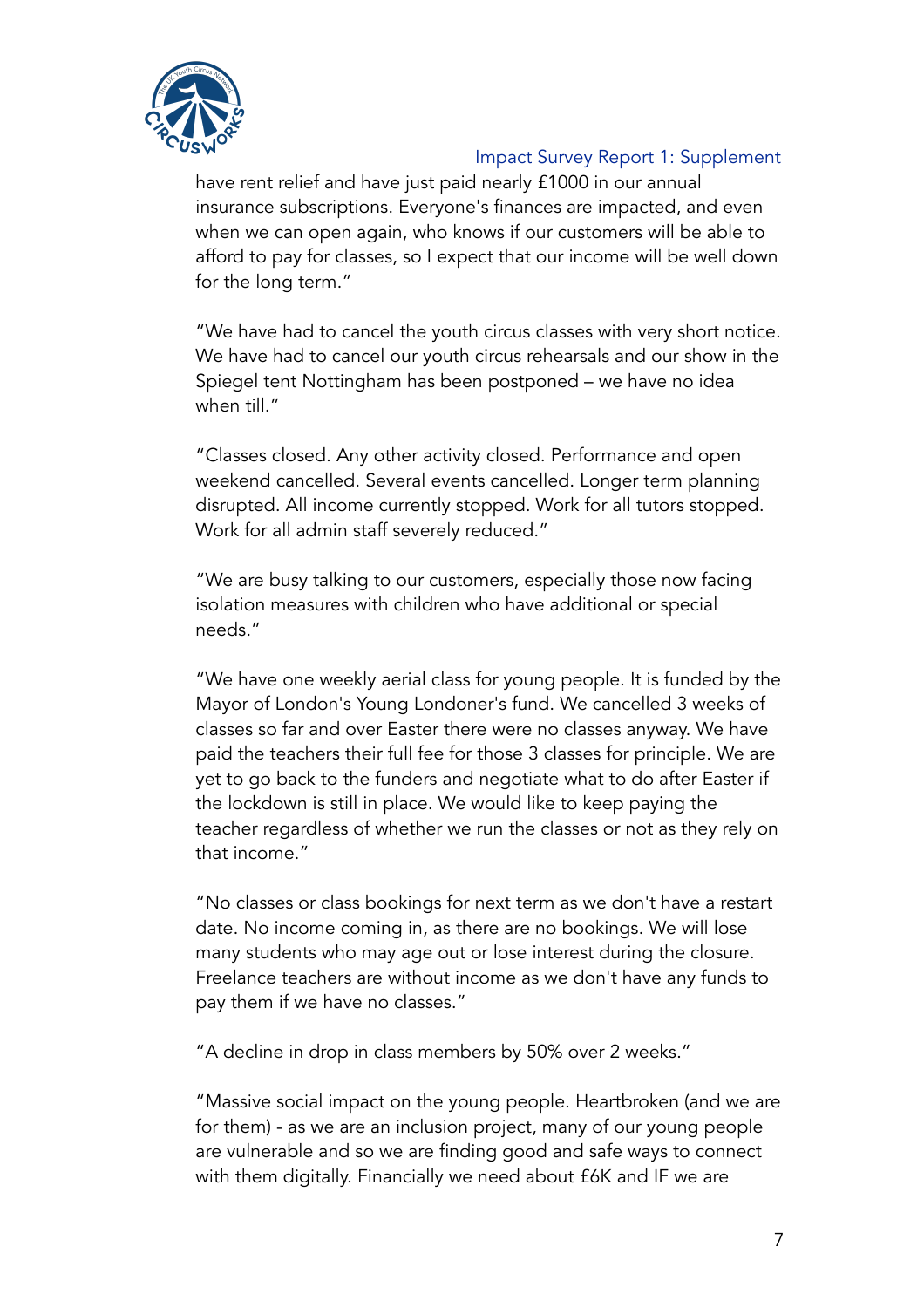

have rent relief and have just paid nearly £1000 in our annual insurance subscriptions. Everyone's finances are impacted, and even when we can open again, who knows if our customers will be able to afford to pay for classes, so I expect that our income will be well down for the long term."

"We have had to cancel the youth circus classes with very short notice. We have had to cancel our youth circus rehearsals and our show in the Spiegel tent Nottingham has been postponed – we have no idea when till."

"Classes closed. Any other activity closed. Performance and open weekend cancelled. Several events cancelled. Longer term planning disrupted. All income currently stopped. Work for all tutors stopped. Work for all admin staff severely reduced."

"We are busy talking to our customers, especially those now facing isolation measures with children who have additional or special needs."

"We have one weekly aerial class for young people. It is funded by the Mayor of London's Young Londoner's fund. We cancelled 3 weeks of classes so far and over Easter there were no classes anyway. We have paid the teachers their full fee for those 3 classes for principle. We are yet to go back to the funders and negotiate what to do after Easter if the lockdown is still in place. We would like to keep paying the teacher regardless of whether we run the classes or not as they rely on that income."

"No classes or class bookings for next term as we don't have a restart date. No income coming in, as there are no bookings. We will lose many students who may age out or lose interest during the closure. Freelance teachers are without income as we don't have any funds to pay them if we have no classes."

"A decline in drop in class members by 50% over 2 weeks."

"Massive social impact on the young people. Heartbroken (and we are for them) - as we are an inclusion project, many of our young people are vulnerable and so we are finding good and safe ways to connect with them digitally. Financially we need about £6K and IF we are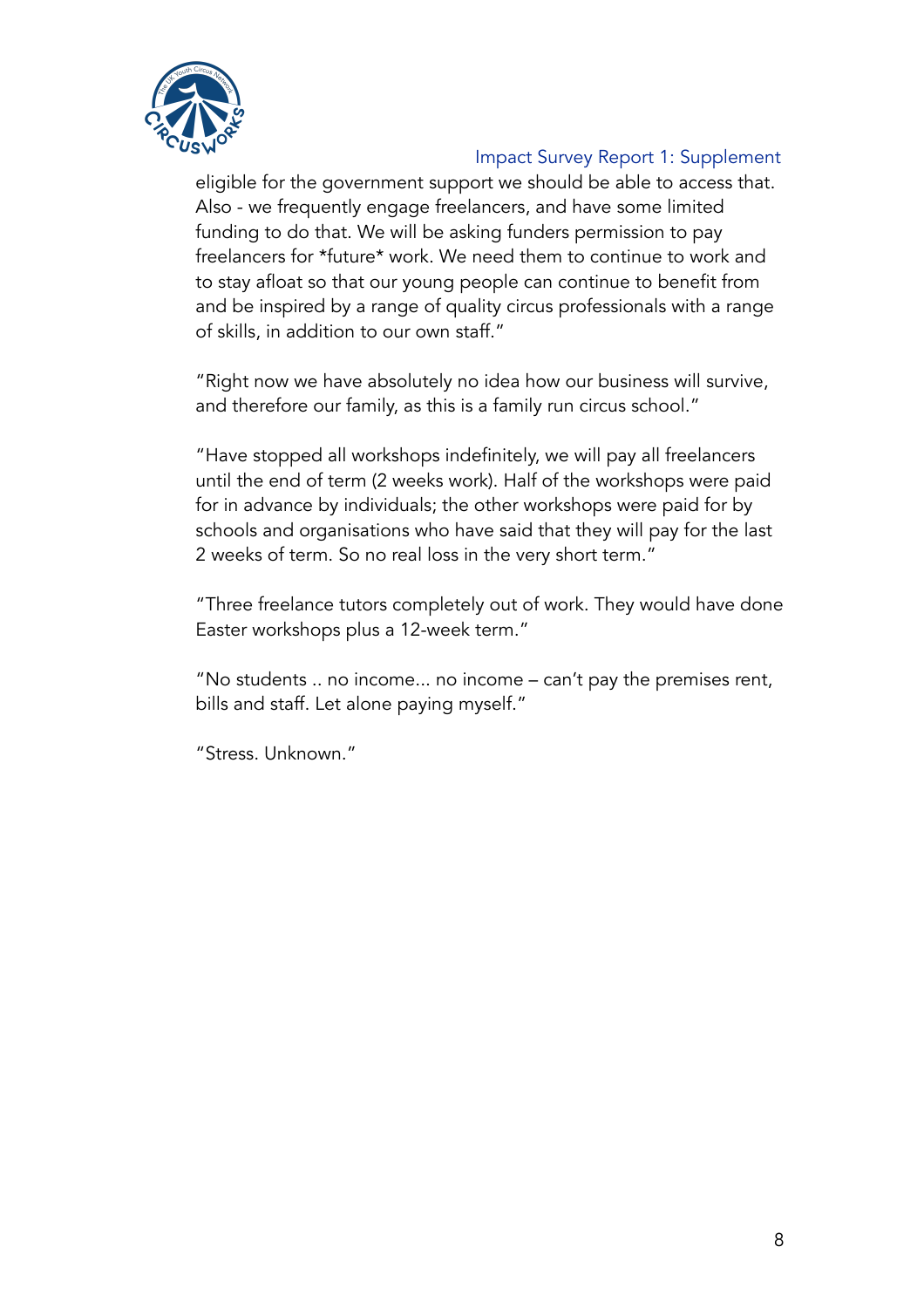

eligible for the government support we should be able to access that. Also - we frequently engage freelancers, and have some limited funding to do that. We will be asking funders permission to pay freelancers for \*future\* work. We need them to continue to work and to stay afloat so that our young people can continue to benefit from and be inspired by a range of quality circus professionals with a range of skills, in addition to our own staff."

"Right now we have absolutely no idea how our business will survive, and therefore our family, as this is a family run circus school."

"Have stopped all workshops indefinitely, we will pay all freelancers until the end of term (2 weeks work). Half of the workshops were paid for in advance by individuals; the other workshops were paid for by schools and organisations who have said that they will pay for the last 2 weeks of term. So no real loss in the very short term."

"Three freelance tutors completely out of work. They would have done Easter workshops plus a 12-week term."

"No students .. no income... no income – can't pay the premises rent, bills and staff. Let alone paying myself."

"Stress. Unknown."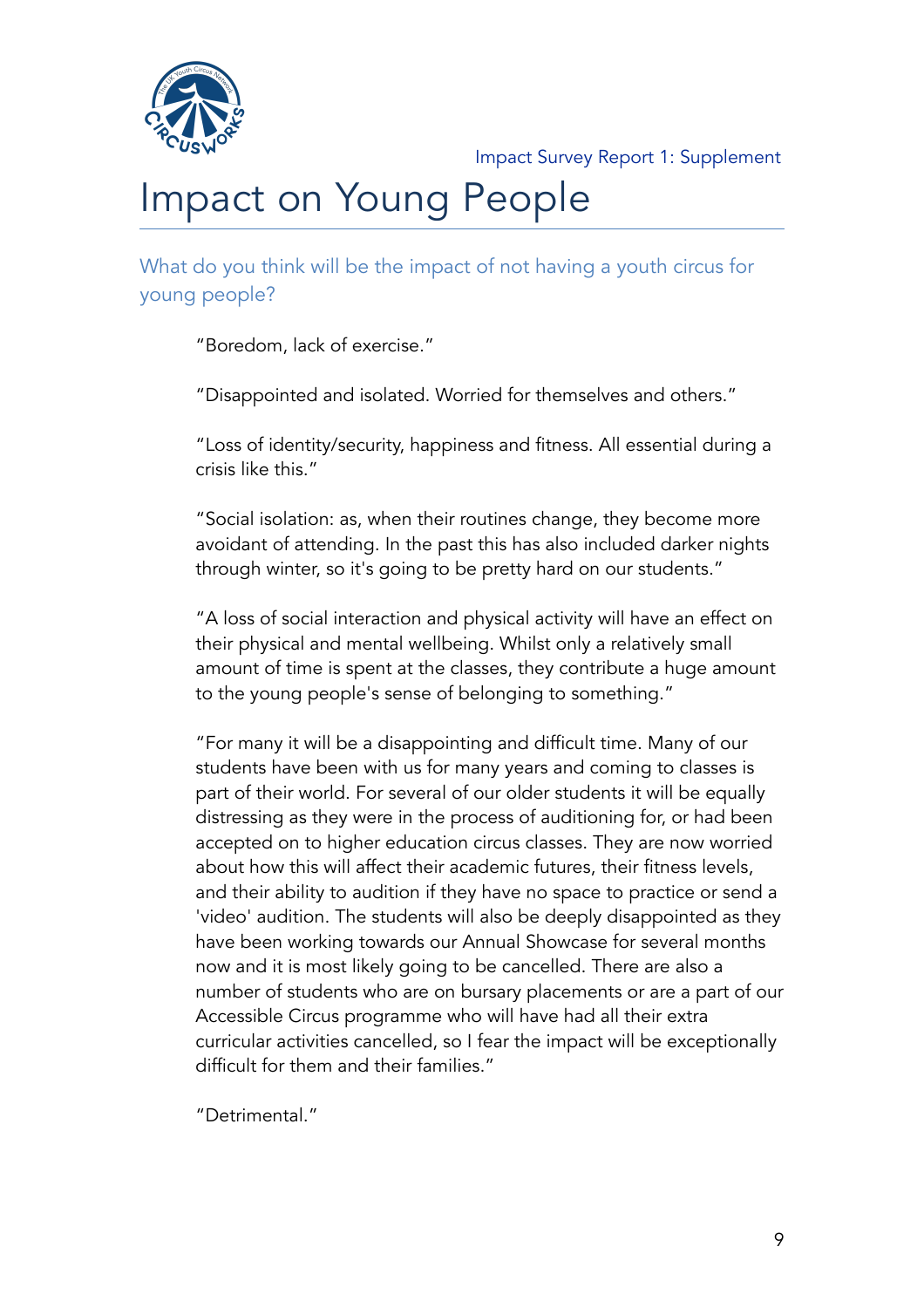

# Impact on Young People

What do you think will be the impact of not having a youth circus for young people?

"Boredom, lack of exercise."

"Disappointed and isolated. Worried for themselves and others."

"Loss of identity/security, happiness and fitness. All essential during a crisis like this."

"Social isolation: as, when their routines change, they become more avoidant of attending. In the past this has also included darker nights through winter, so it's going to be pretty hard on our students."

"A loss of social interaction and physical activity will have an effect on their physical and mental wellbeing. Whilst only a relatively small amount of time is spent at the classes, they contribute a huge amount to the young people's sense of belonging to something."

"For many it will be a disappointing and difficult time. Many of our students have been with us for many years and coming to classes is part of their world. For several of our older students it will be equally distressing as they were in the process of auditioning for, or had been accepted on to higher education circus classes. They are now worried about how this will affect their academic futures, their fitness levels, and their ability to audition if they have no space to practice or send a 'video' audition. The students will also be deeply disappointed as they have been working towards our Annual Showcase for several months now and it is most likely going to be cancelled. There are also a number of students who are on bursary placements or are a part of our Accessible Circus programme who will have had all their extra curricular activities cancelled, so I fear the impact will be exceptionally difficult for them and their families."

"Detrimental."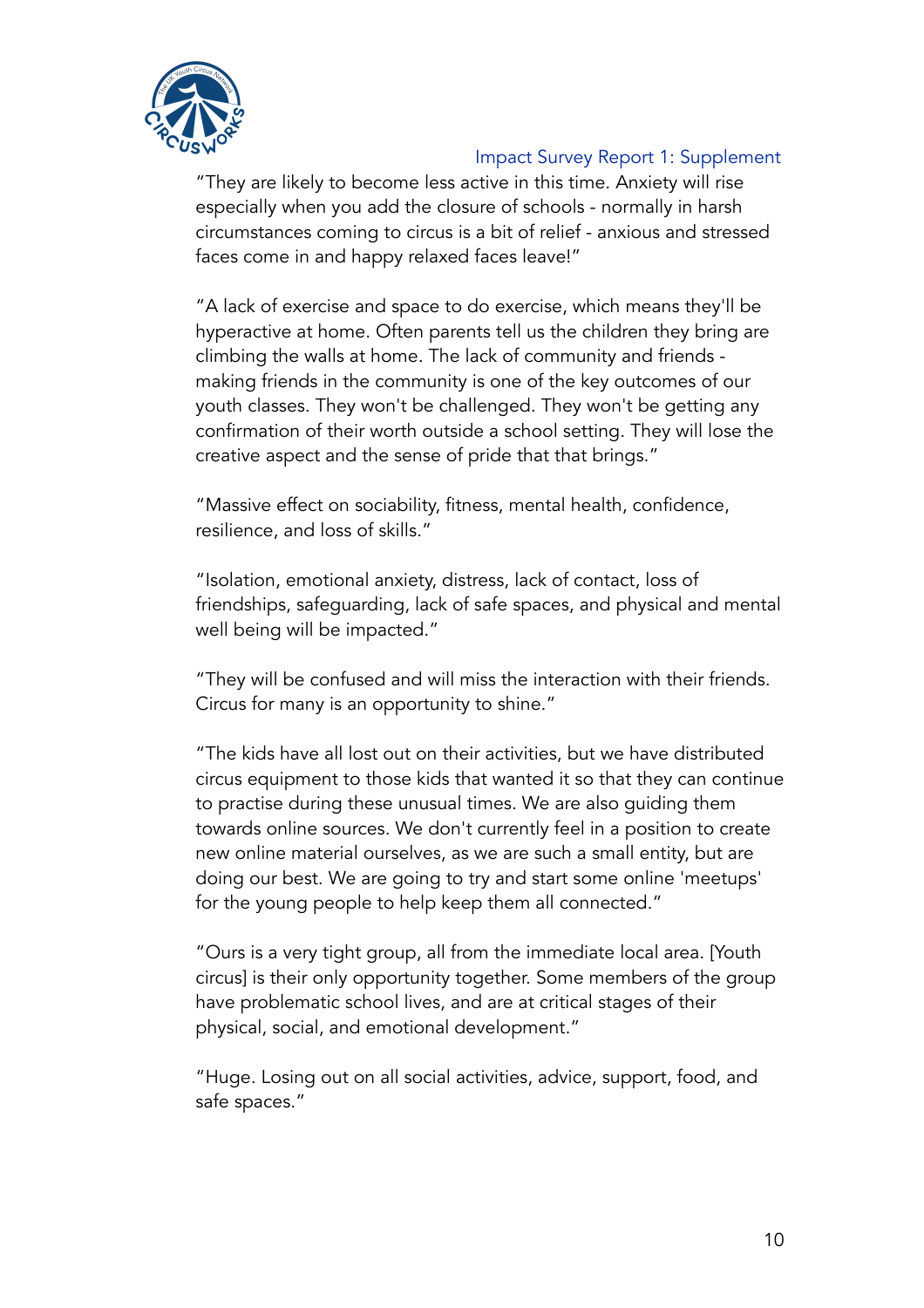

"They are likely to become less active in this time. Anxiety will rise especially when you add the closure of schools - normally in harsh circumstances coming to circus is a bit of relief - anxious and stressed faces come in and happy relaxed faces leave!"

"A lack of exercise and space to do exercise, which means they'll be hyperactive at home. Often parents tell us the children they bring are climbing the walls at home. The lack of community and friends making friends in the community is one of the key outcomes of our youth classes. They won't be challenged. They won't be getting any confirmation of their worth outside a school setting. They will lose the creative aspect and the sense of pride that that brings."

"Massive effect on sociability, fitness, mental health, confidence, resilience, and loss of skills."

"Isolation, emotional anxiety, distress, lack of contact, loss of friendships, safeguarding, lack of safe spaces, and physical and mental well being will be impacted."

"They will be confused and will miss the interaction with their friends. Circus for many is an opportunity to shine."

"The kids have all lost out on their activities, but we have distributed circus equipment to those kids that wanted it so that they can continue to practise during these unusual times. We are also guiding them towards online sources. We don't currently feel in a position to create new online material ourselves, as we are such a small entity, but are doing our best. We are going to try and start some online 'meetups' for the young people to help keep them all connected."

"Ours is a very tight group, all from the immediate local area. [Youth circus] is their only opportunity together. Some members of the group have problematic school lives, and are at critical stages of their physical, social, and emotional development."

"Huge. Losing out on all social activities, advice, support, food, and safe spaces."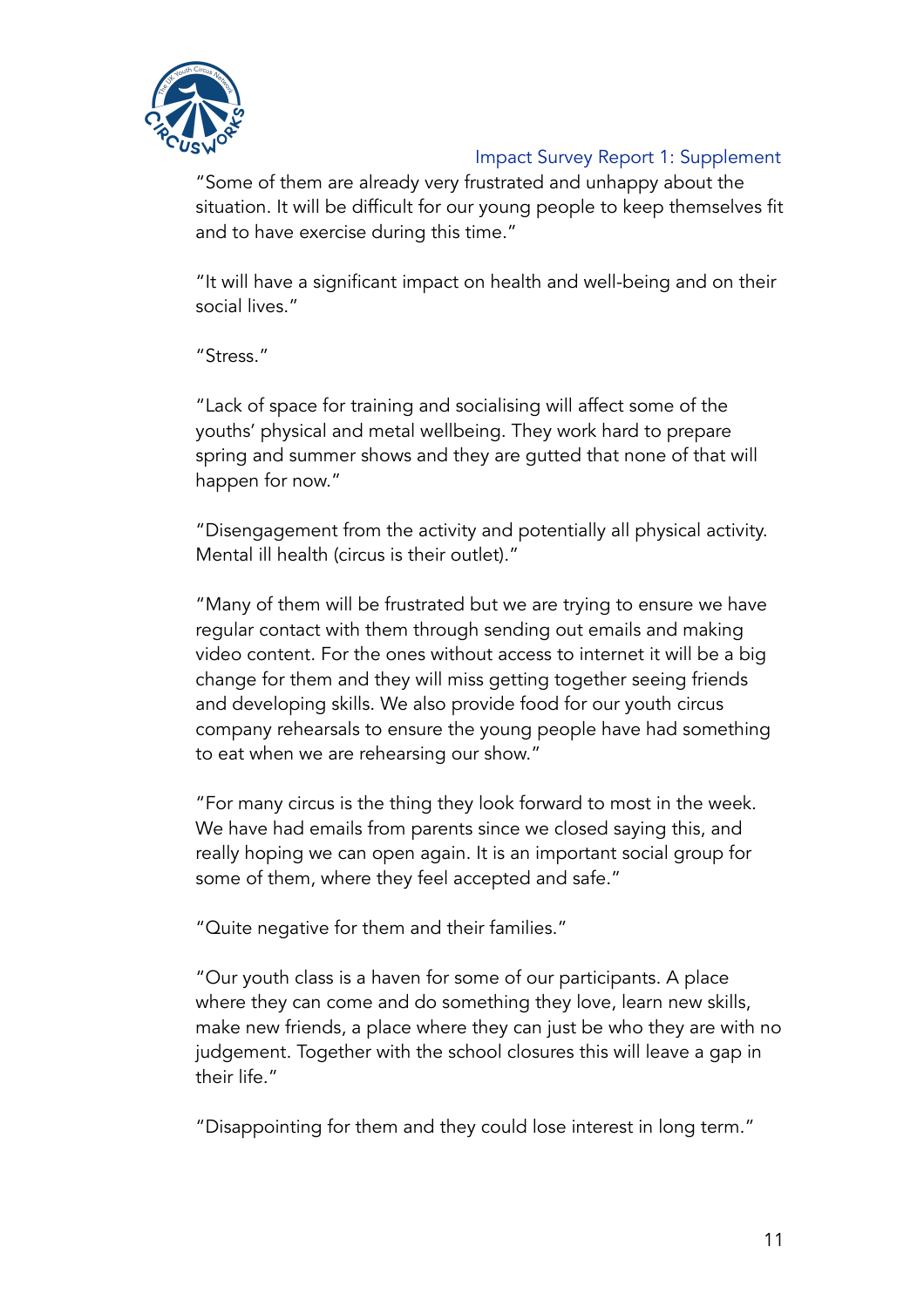

"Some of them are already very frustrated and unhappy about the situation. It will be difficult for our young people to keep themselves fit and to have exercise during this time."

"It will have a significant impact on health and well-being and on their social lives."

"Stress."

"Lack of space for training and socialising will affect some of the youths' physical and metal wellbeing. They work hard to prepare spring and summer shows and they are gutted that none of that will happen for now."

"Disengagement from the activity and potentially all physical activity. Mental ill health (circus is their outlet)."

"Many of them will be frustrated but we are trying to ensure we have regular contact with them through sending out emails and making video content. For the ones without access to internet it will be a big change for them and they will miss getting together seeing friends and developing skills. We also provide food for our youth circus company rehearsals to ensure the young people have had something to eat when we are rehearsing our show."

"For many circus is the thing they look forward to most in the week. We have had emails from parents since we closed saying this, and really hoping we can open again. It is an important social group for some of them, where they feel accepted and safe."

"Quite negative for them and their families."

"Our youth class is a haven for some of our participants. A place where they can come and do something they love, learn new skills, make new friends, a place where they can just be who they are with no judgement. Together with the school closures this will leave a gap in their life."

"Disappointing for them and they could lose interest in long term."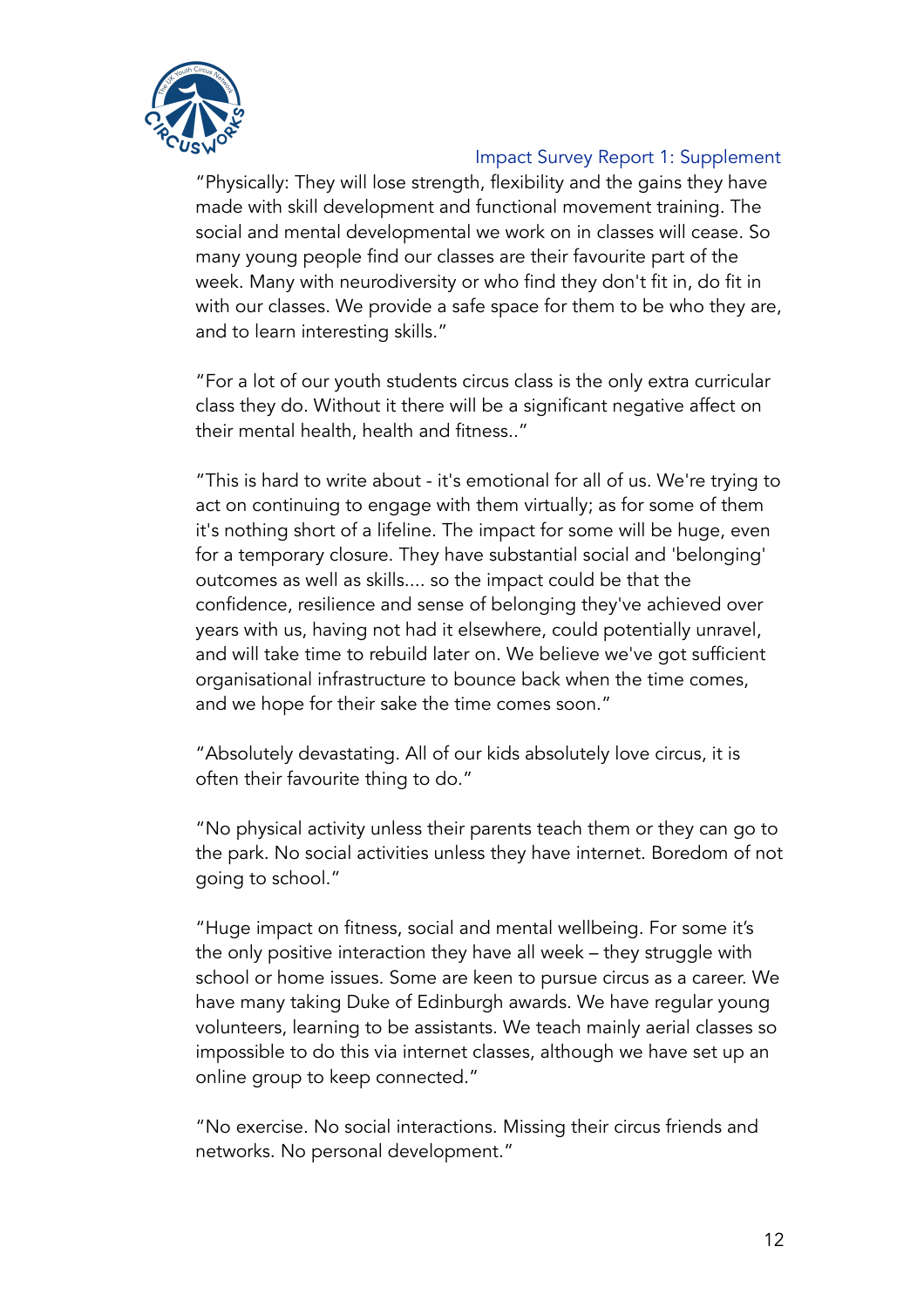

"Physically: They will lose strength, flexibility and the gains they have made with skill development and functional movement training. The social and mental developmental we work on in classes will cease. So many young people find our classes are their favourite part of the week. Many with neurodiversity or who find they don't fit in, do fit in with our classes. We provide a safe space for them to be who they are, and to learn interesting skills."

"For a lot of our youth students circus class is the only extra curricular class they do. Without it there will be a significant negative affect on their mental health, health and fitness.."

"This is hard to write about - it's emotional for all of us. We're trying to act on continuing to engage with them virtually; as for some of them it's nothing short of a lifeline. The impact for some will be huge, even for a temporary closure. They have substantial social and 'belonging' outcomes as well as skills.... so the impact could be that the confidence, resilience and sense of belonging they've achieved over years with us, having not had it elsewhere, could potentially unravel, and will take time to rebuild later on. We believe we've got sufficient organisational infrastructure to bounce back when the time comes, and we hope for their sake the time comes soon."

"Absolutely devastating. All of our kids absolutely love circus, it is often their favourite thing to do."

"No physical activity unless their parents teach them or they can go to the park. No social activities unless they have internet. Boredom of not going to school."

"Huge impact on fitness, social and mental wellbeing. For some it's the only positive interaction they have all week – they struggle with school or home issues. Some are keen to pursue circus as a career. We have many taking Duke of Edinburgh awards. We have regular young volunteers, learning to be assistants. We teach mainly aerial classes so impossible to do this via internet classes, although we have set up an online group to keep connected."

"No exercise. No social interactions. Missing their circus friends and networks. No personal development."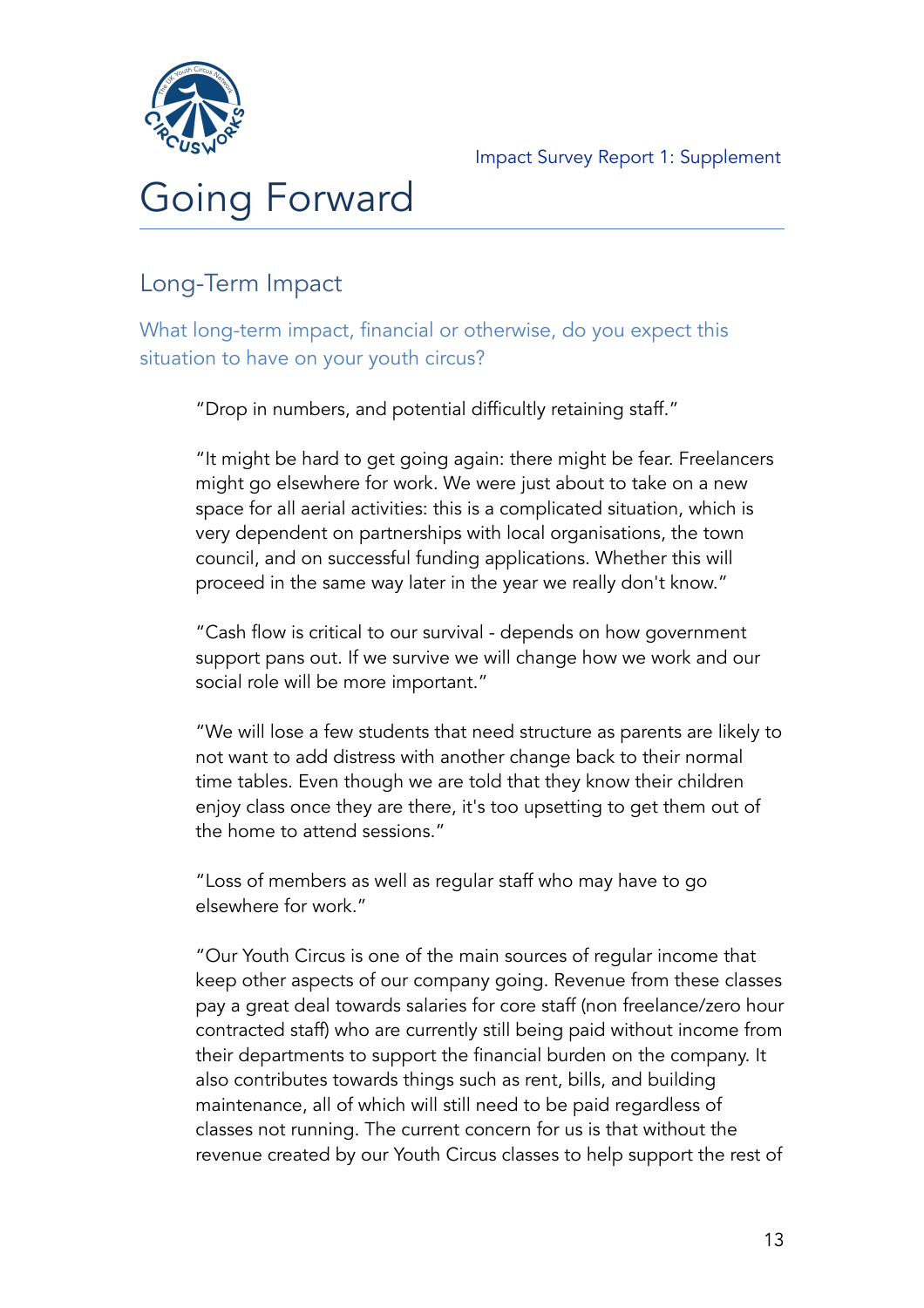

# Going Forward

## Long-Term Impact

What long-term impact, financial or otherwise, do you expect this situation to have on your youth circus?

"Drop in numbers, and potential difficultly retaining staff."

"It might be hard to get going again: there might be fear. Freelancers might go elsewhere for work. We were just about to take on a new space for all aerial activities: this is a complicated situation, which is very dependent on partnerships with local organisations, the town council, and on successful funding applications. Whether this will proceed in the same way later in the year we really don't know."

"Cash flow is critical to our survival - depends on how government support pans out. If we survive we will change how we work and our social role will be more important."

"We will lose a few students that need structure as parents are likely to not want to add distress with another change back to their normal time tables. Even though we are told that they know their children enjoy class once they are there, it's too upsetting to get them out of the home to attend sessions."

"Loss of members as well as regular staff who may have to go elsewhere for work."

"Our Youth Circus is one of the main sources of regular income that keep other aspects of our company going. Revenue from these classes pay a great deal towards salaries for core staff (non freelance/zero hour contracted staff) who are currently still being paid without income from their departments to support the financial burden on the company. It also contributes towards things such as rent, bills, and building maintenance, all of which will still need to be paid regardless of classes not running. The current concern for us is that without the revenue created by our Youth Circus classes to help support the rest of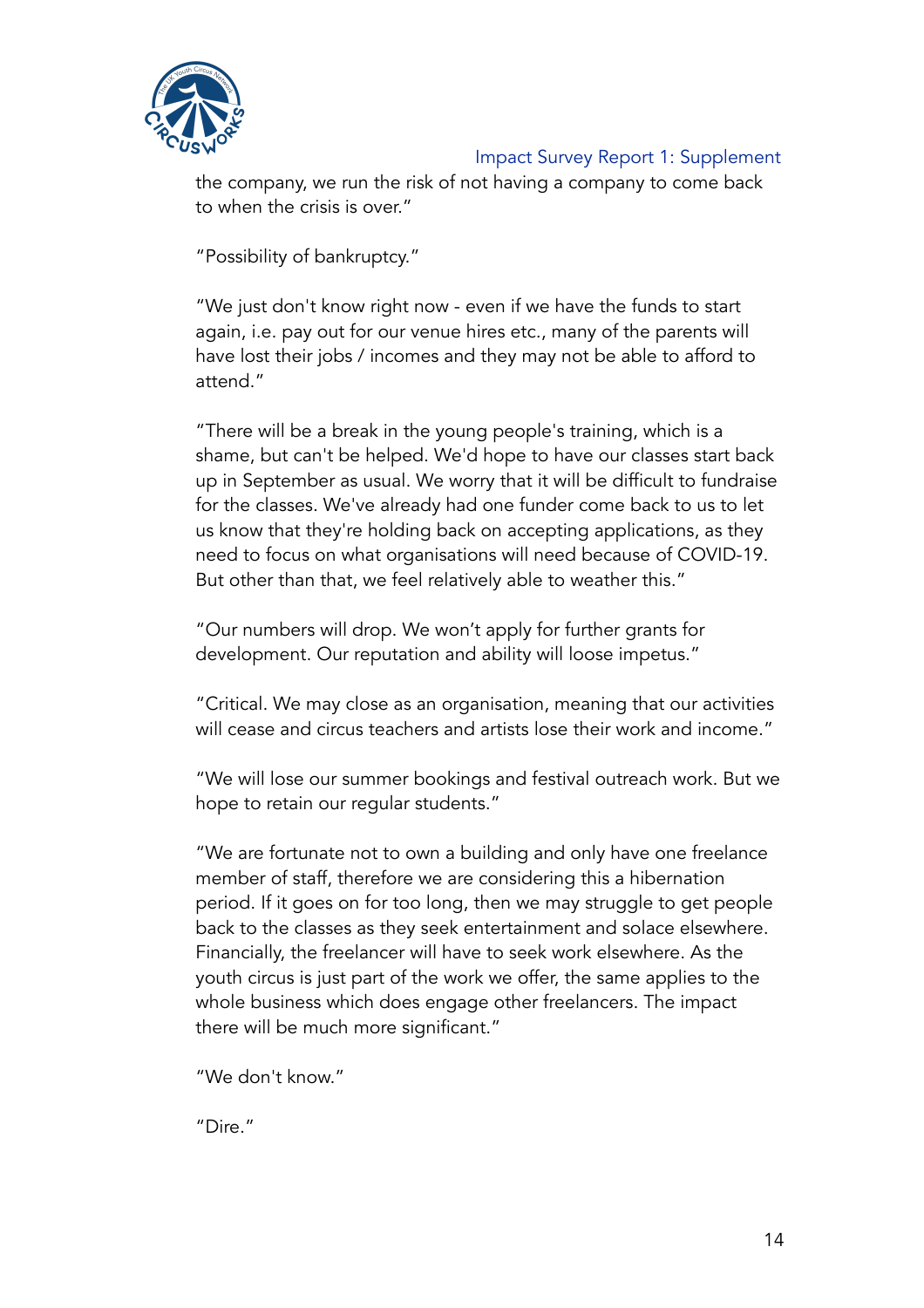

the company, we run the risk of not having a company to come back to when the crisis is over."

"Possibility of bankruptcy."

"We just don't know right now - even if we have the funds to start again, i.e. pay out for our venue hires etc., many of the parents will have lost their jobs / incomes and they may not be able to afford to attend."

"There will be a break in the young people's training, which is a shame, but can't be helped. We'd hope to have our classes start back up in September as usual. We worry that it will be difficult to fundraise for the classes. We've already had one funder come back to us to let us know that they're holding back on accepting applications, as they need to focus on what organisations will need because of COVID-19. But other than that, we feel relatively able to weather this."

"Our numbers will drop. We won't apply for further grants for development. Our reputation and ability will loose impetus."

"Critical. We may close as an organisation, meaning that our activities will cease and circus teachers and artists lose their work and income."

"We will lose our summer bookings and festival outreach work. But we hope to retain our regular students."

"We are fortunate not to own a building and only have one freelance member of staff, therefore we are considering this a hibernation period. If it goes on for too long, then we may struggle to get people back to the classes as they seek entertainment and solace elsewhere. Financially, the freelancer will have to seek work elsewhere. As the youth circus is just part of the work we offer, the same applies to the whole business which does engage other freelancers. The impact there will be much more significant."

"We don't know."

"Dire."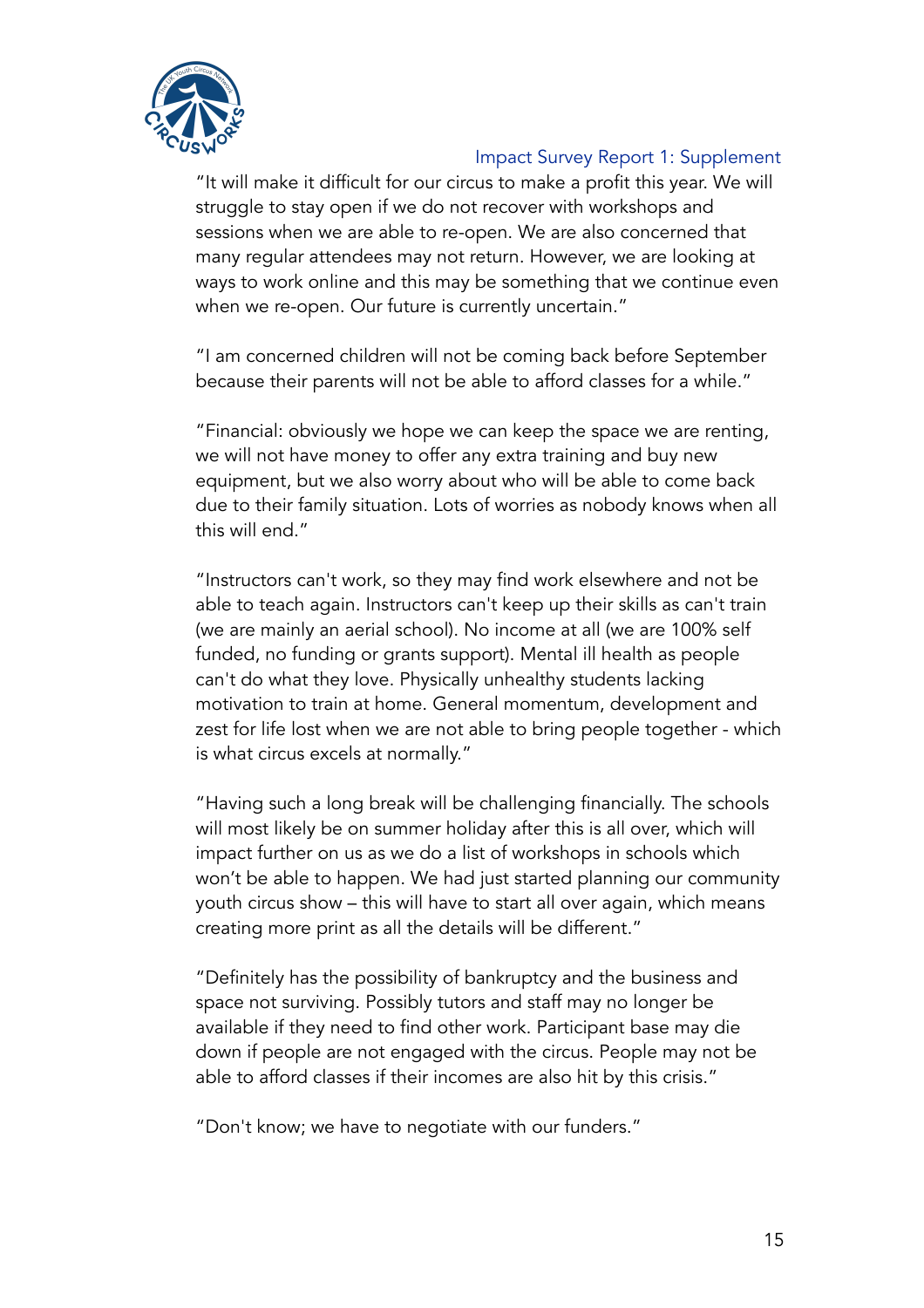

"It will make it difficult for our circus to make a profit this year. We will struggle to stay open if we do not recover with workshops and sessions when we are able to re-open. We are also concerned that many regular attendees may not return. However, we are looking at ways to work online and this may be something that we continue even when we re-open. Our future is currently uncertain."

"I am concerned children will not be coming back before September because their parents will not be able to afford classes for a while."

"Financial: obviously we hope we can keep the space we are renting, we will not have money to offer any extra training and buy new equipment, but we also worry about who will be able to come back due to their family situation. Lots of worries as nobody knows when all this will end."

"Instructors can't work, so they may find work elsewhere and not be able to teach again. Instructors can't keep up their skills as can't train (we are mainly an aerial school). No income at all (we are 100% self funded, no funding or grants support). Mental ill health as people can't do what they love. Physically unhealthy students lacking motivation to train at home. General momentum, development and zest for life lost when we are not able to bring people together - which is what circus excels at normally."

"Having such a long break will be challenging financially. The schools will most likely be on summer holiday after this is all over, which will impact further on us as we do a list of workshops in schools which won't be able to happen. We had just started planning our community youth circus show – this will have to start all over again, which means creating more print as all the details will be different."

"Definitely has the possibility of bankruptcy and the business and space not surviving. Possibly tutors and staff may no longer be available if they need to find other work. Participant base may die down if people are not engaged with the circus. People may not be able to afford classes if their incomes are also hit by this crisis."

"Don't know; we have to negotiate with our funders."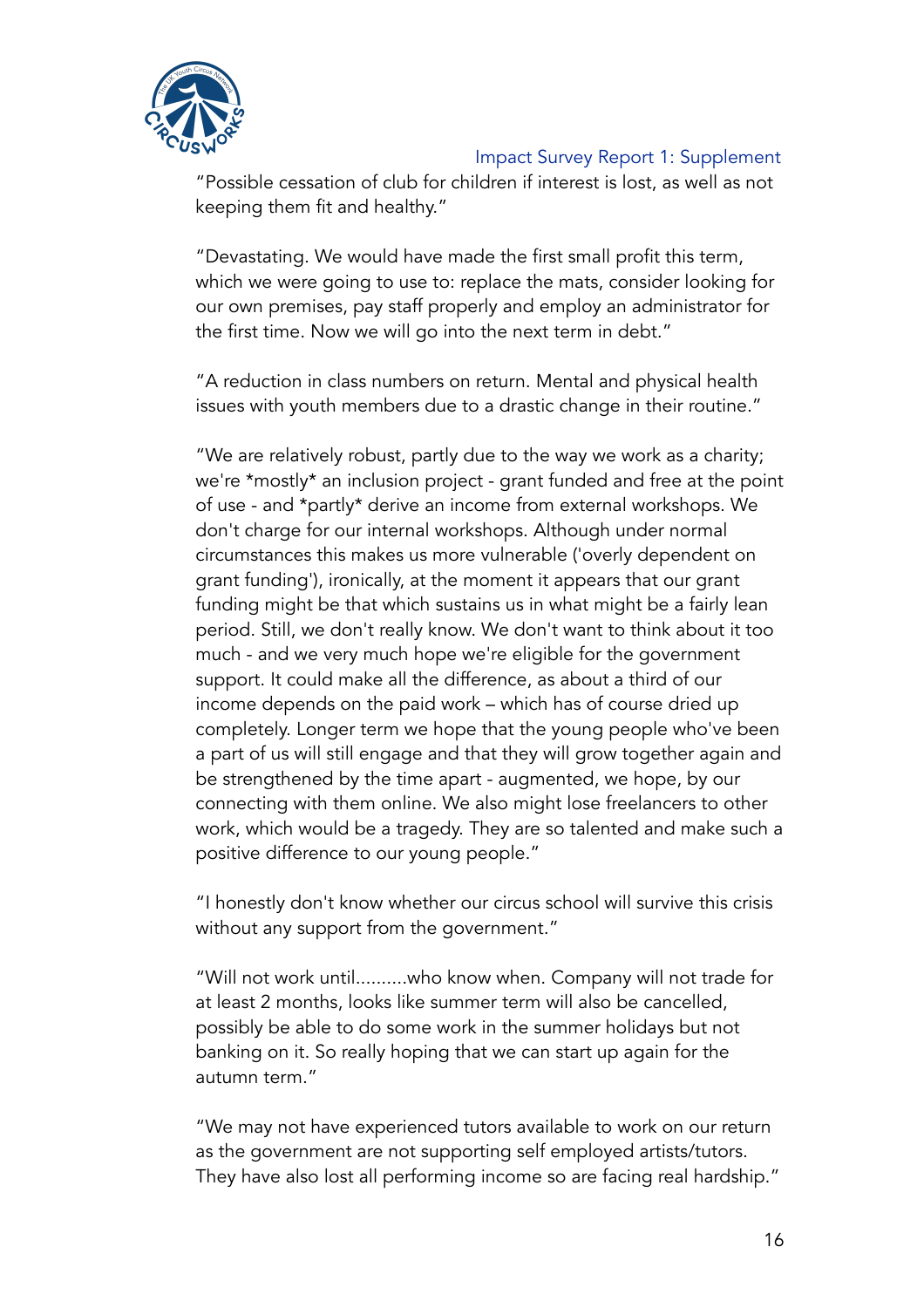

"Possible cessation of club for children if interest is lost, as well as not keeping them fit and healthy."

"Devastating. We would have made the first small profit this term, which we were going to use to: replace the mats, consider looking for our own premises, pay staff properly and employ an administrator for the first time. Now we will go into the next term in debt."

"A reduction in class numbers on return. Mental and physical health issues with youth members due to a drastic change in their routine."

"We are relatively robust, partly due to the way we work as a charity; we're \*mostly\* an inclusion project - grant funded and free at the point of use - and \*partly\* derive an income from external workshops. We don't charge for our internal workshops. Although under normal circumstances this makes us more vulnerable ('overly dependent on grant funding'), ironically, at the moment it appears that our grant funding might be that which sustains us in what might be a fairly lean period. Still, we don't really know. We don't want to think about it too much - and we very much hope we're eligible for the government support. It could make all the difference, as about a third of our income depends on the paid work – which has of course dried up completely. Longer term we hope that the young people who've been a part of us will still engage and that they will grow together again and be strengthened by the time apart - augmented, we hope, by our connecting with them online. We also might lose freelancers to other work, which would be a tragedy. They are so talented and make such a positive difference to our young people."

"I honestly don't know whether our circus school will survive this crisis without any support from the government."

"Will not work until..........who know when. Company will not trade for at least 2 months, looks like summer term will also be cancelled, possibly be able to do some work in the summer holidays but not banking on it. So really hoping that we can start up again for the autumn term."

"We may not have experienced tutors available to work on our return as the government are not supporting self employed artists/tutors. They have also lost all performing income so are facing real hardship."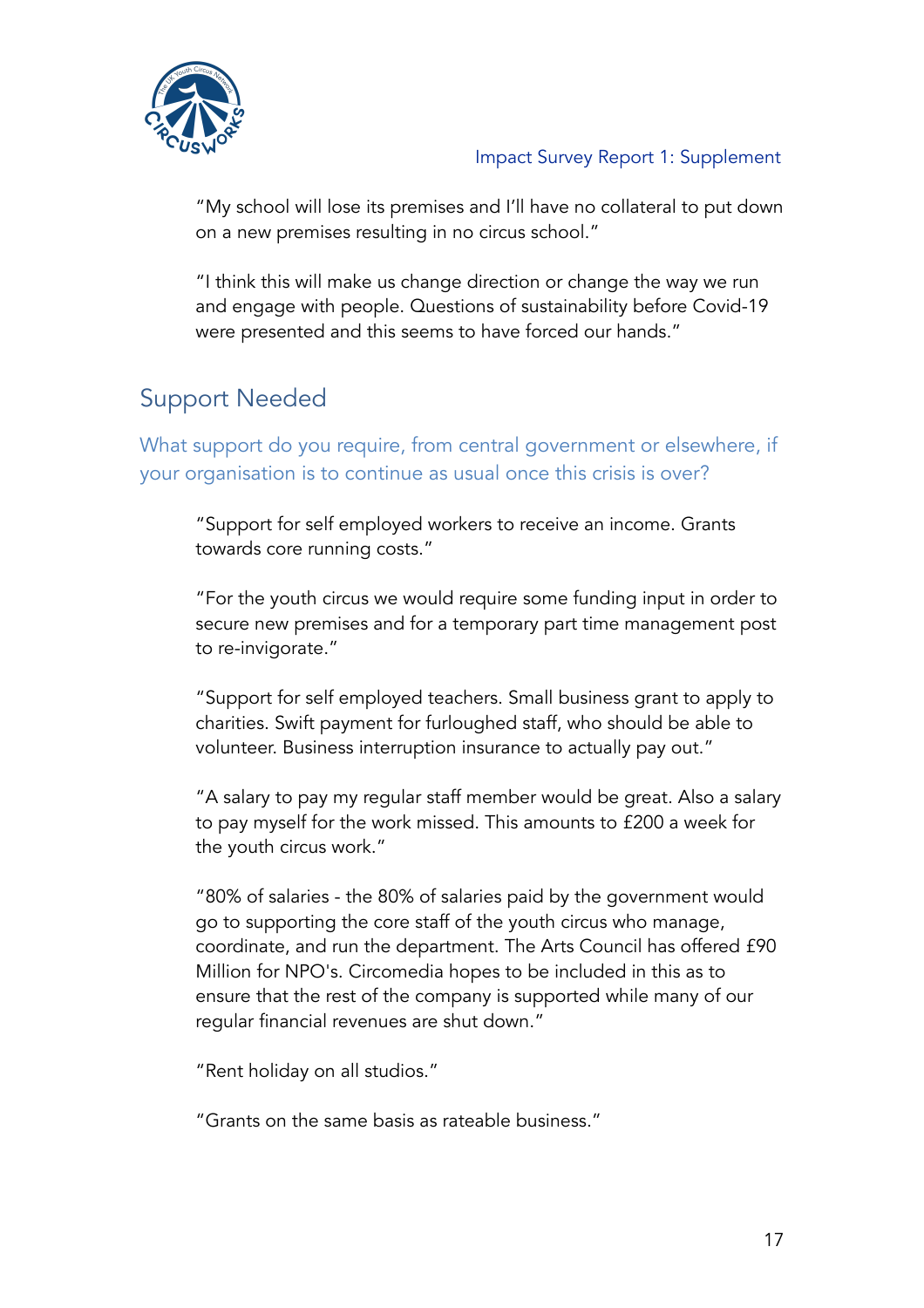

"My school will lose its premises and I'll have no collateral to put down on a new premises resulting in no circus school."

"I think this will make us change direction or change the way we run and engage with people. Questions of sustainability before Covid-19 were presented and this seems to have forced our hands."

## Support Needed

What support do you require, from central government or elsewhere, if your organisation is to continue as usual once this crisis is over?

"Support for self employed workers to receive an income. Grants towards core running costs."

"For the youth circus we would require some funding input in order to secure new premises and for a temporary part time management post to re-invigorate."

"Support for self employed teachers. Small business grant to apply to charities. Swift payment for furloughed staff, who should be able to volunteer. Business interruption insurance to actually pay out."

"A salary to pay my regular staff member would be great. Also a salary to pay myself for the work missed. This amounts to £200 a week for the youth circus work."

"80% of salaries - the 80% of salaries paid by the government would go to supporting the core staff of the youth circus who manage, coordinate, and run the department. The Arts Council has offered £90 Million for NPO's. Circomedia hopes to be included in this as to ensure that the rest of the company is supported while many of our regular financial revenues are shut down."

"Rent holiday on all studios."

"Grants on the same basis as rateable business."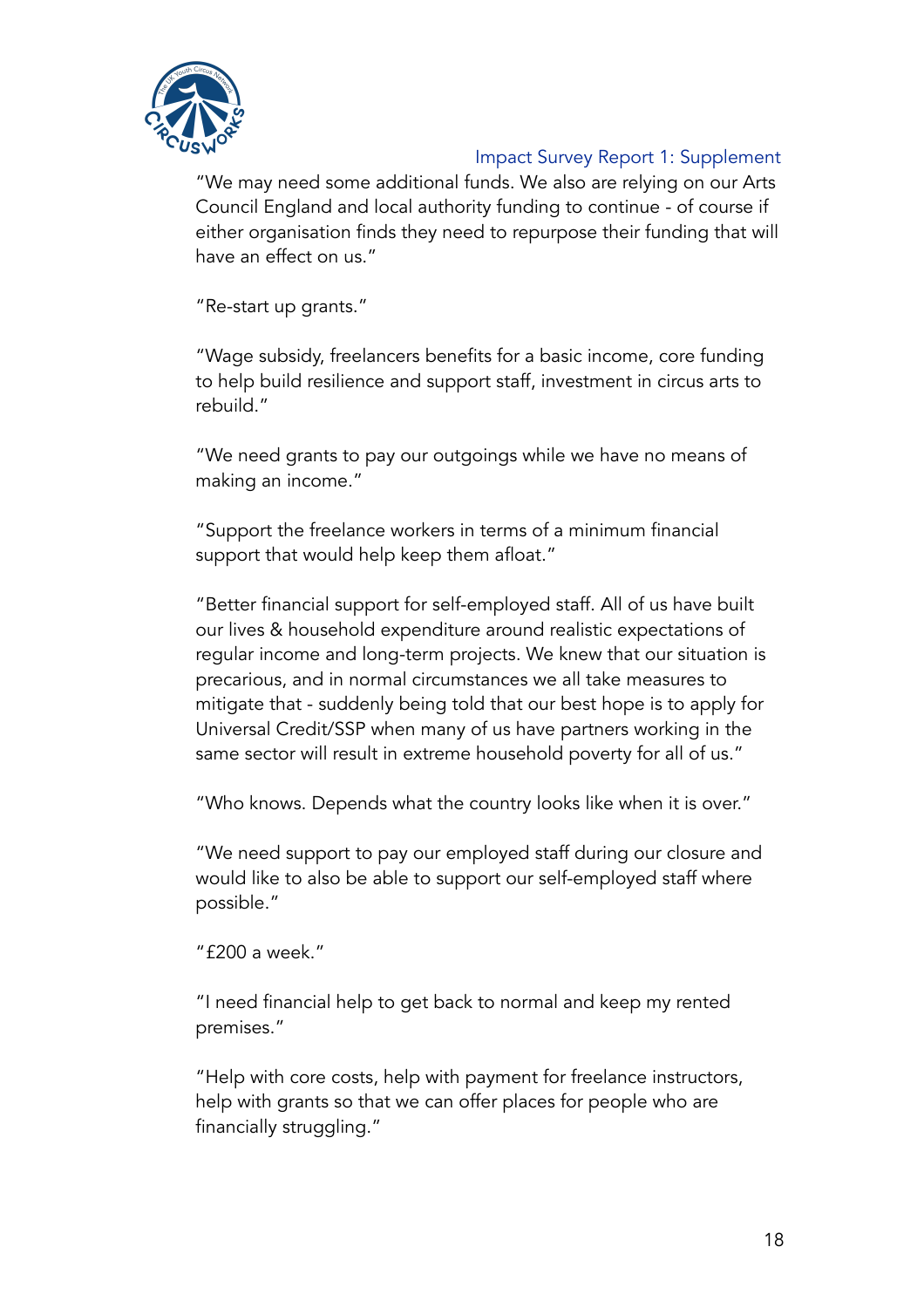

"We may need some additional funds. We also are relying on our Arts Council England and local authority funding to continue - of course if either organisation finds they need to repurpose their funding that will have an effect on us."

"Re-start up grants."

"Wage subsidy, freelancers benefits for a basic income, core funding to help build resilience and support staff, investment in circus arts to rebuild."

"We need grants to pay our outgoings while we have no means of making an income."

"Support the freelance workers in terms of a minimum financial support that would help keep them afloat."

"Better financial support for self-employed staff. All of us have built our lives & household expenditure around realistic expectations of regular income and long-term projects. We knew that our situation is precarious, and in normal circumstances we all take measures to mitigate that - suddenly being told that our best hope is to apply for Universal Credit/SSP when many of us have partners working in the same sector will result in extreme household poverty for all of us."

"Who knows. Depends what the country looks like when it is over."

"We need support to pay our employed staff during our closure and would like to also be able to support our self-employed staff where possible."

"£200 a week."

"I need financial help to get back to normal and keep my rented premises."

"Help with core costs, help with payment for freelance instructors, help with grants so that we can offer places for people who are financially struggling."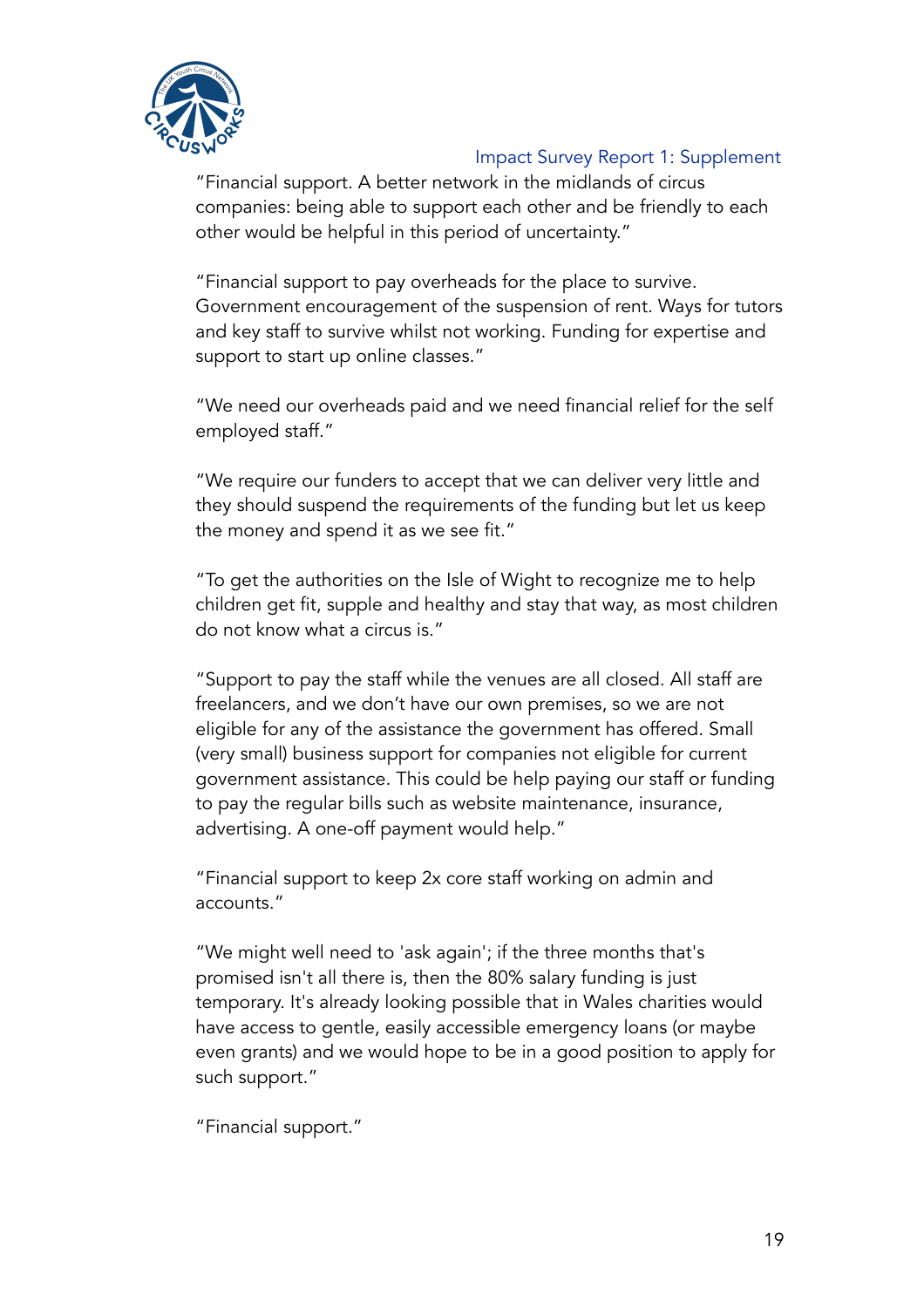

"Financial support. A better network in the midlands of circus companies: being able to support each other and be friendly to each other would be helpful in this period of uncertainty."

"Financial support to pay overheads for the place to survive. Government encouragement of the suspension of rent. Ways for tutors and key staff to survive whilst not working. Funding for expertise and support to start up online classes."

"We need our overheads paid and we need financial relief for the self employed staff."

"We require our funders to accept that we can deliver very little and they should suspend the requirements of the funding but let us keep the money and spend it as we see fit."

"To get the authorities on the Isle of Wight to recognize me to help children get fit, supple and healthy and stay that way, as most children do not know what a circus is."

"Support to pay the staff while the venues are all closed. All staff are freelancers, and we don't have our own premises, so we are not eligible for any of the assistance the government has offered. Small (very small) business support for companies not eligible for current government assistance. This could be help paying our staff or funding to pay the regular bills such as website maintenance, insurance, advertising. A one-off payment would help."

"Financial support to keep 2x core staff working on admin and accounts."

"We might well need to 'ask again'; if the three months that's promised isn't all there is, then the 80% salary funding is just temporary. It's already looking possible that in Wales charities would have access to gentle, easily accessible emergency loans (or maybe even grants) and we would hope to be in a good position to apply for such support."

"Financial support."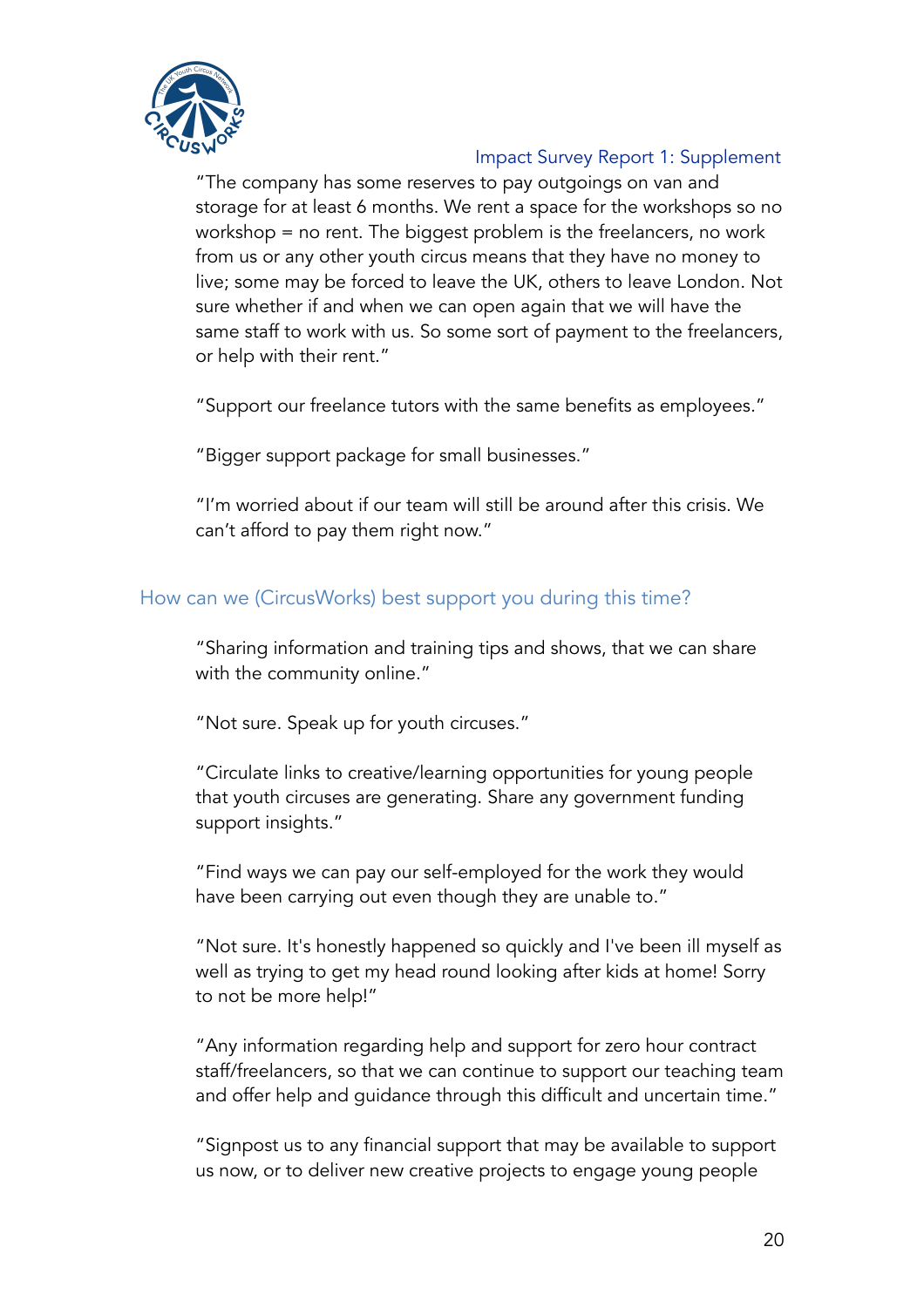

"The company has some reserves to pay outgoings on van and storage for at least 6 months. We rent a space for the workshops so no workshop = no rent. The biggest problem is the freelancers, no work from us or any other youth circus means that they have no money to live; some may be forced to leave the UK, others to leave London. Not sure whether if and when we can open again that we will have the same staff to work with us. So some sort of payment to the freelancers, or help with their rent."

"Support our freelance tutors with the same benefits as employees."

"Bigger support package for small businesses."

"I'm worried about if our team will still be around after this crisis. We can't afford to pay them right now."

### How can we (CircusWorks) best support you during this time?

"Sharing information and training tips and shows, that we can share with the community online."

"Not sure. Speak up for youth circuses."

"Circulate links to creative/learning opportunities for young people that youth circuses are generating. Share any government funding support insights."

"Find ways we can pay our self-employed for the work they would have been carrying out even though they are unable to."

"Not sure. It's honestly happened so quickly and I've been ill myself as well as trying to get my head round looking after kids at home! Sorry to not be more help!"

"Any information regarding help and support for zero hour contract staff/freelancers, so that we can continue to support our teaching team and offer help and guidance through this difficult and uncertain time."

"Signpost us to any financial support that may be available to support us now, or to deliver new creative projects to engage young people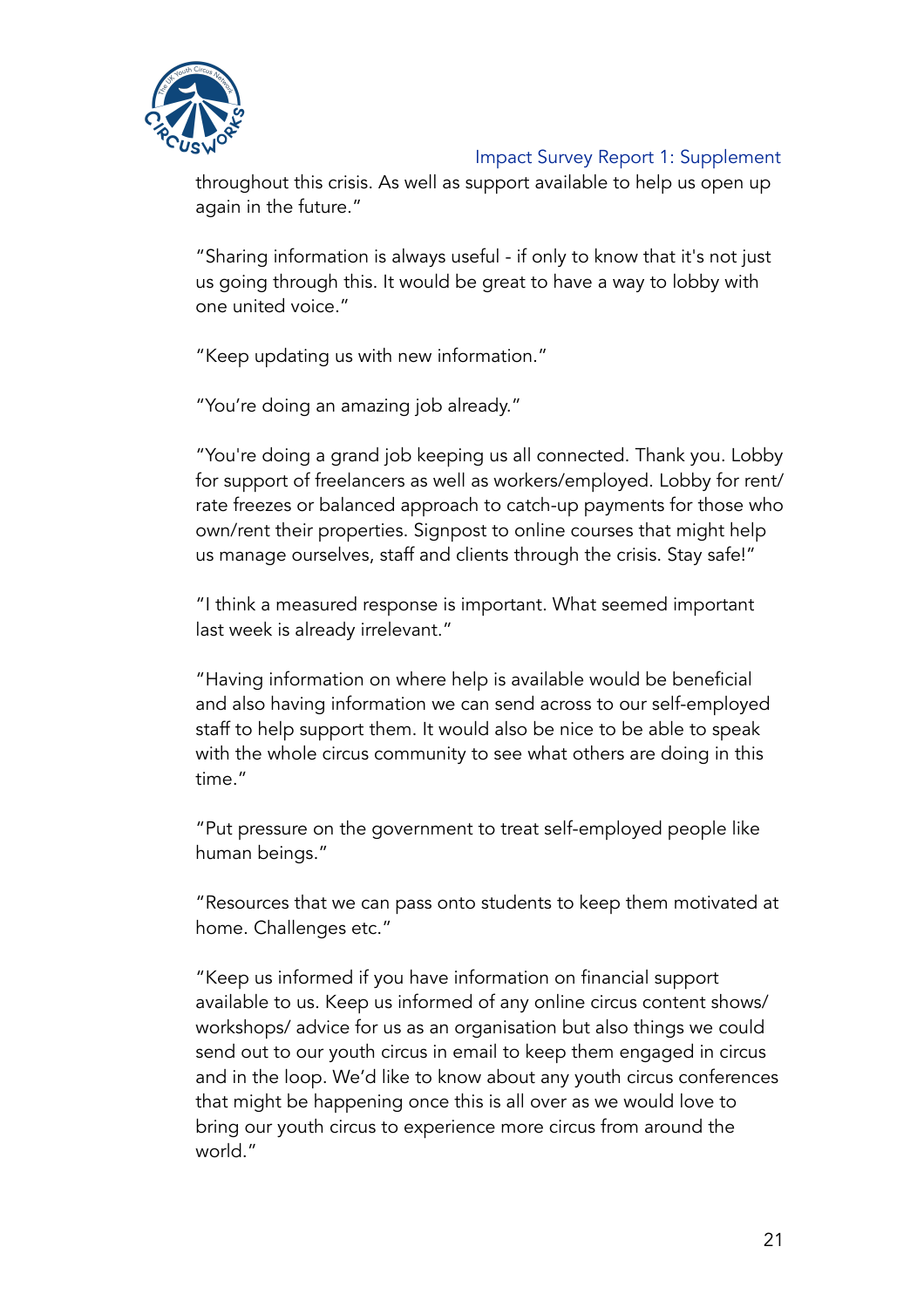

throughout this crisis. As well as support available to help us open up again in the future."

"Sharing information is always useful - if only to know that it's not just us going through this. It would be great to have a way to lobby with one united voice."

"Keep updating us with new information."

"You're doing an amazing job already."

"You're doing a grand job keeping us all connected. Thank you. Lobby for support of freelancers as well as workers/employed. Lobby for rent/ rate freezes or balanced approach to catch-up payments for those who own/rent their properties. Signpost to online courses that might help us manage ourselves, staff and clients through the crisis. Stay safe!"

"I think a measured response is important. What seemed important last week is already irrelevant."

"Having information on where help is available would be beneficial and also having information we can send across to our self-employed staff to help support them. It would also be nice to be able to speak with the whole circus community to see what others are doing in this time."

"Put pressure on the government to treat self-employed people like human beings."

"Resources that we can pass onto students to keep them motivated at home. Challenges etc."

"Keep us informed if you have information on financial support available to us. Keep us informed of any online circus content shows/ workshops/ advice for us as an organisation but also things we could send out to our youth circus in email to keep them engaged in circus and in the loop. We'd like to know about any youth circus conferences that might be happening once this is all over as we would love to bring our youth circus to experience more circus from around the world."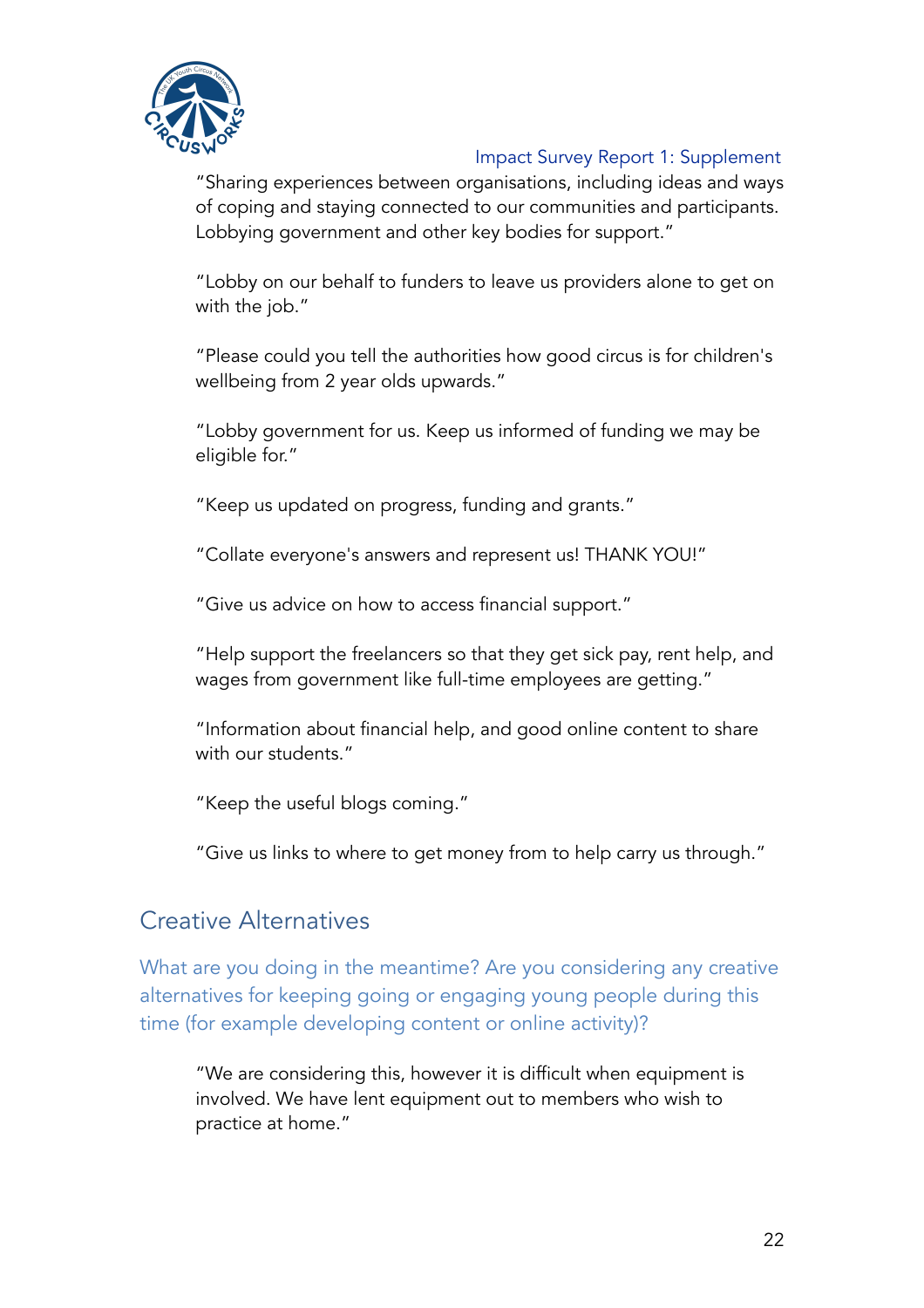

"Sharing experiences between organisations, including ideas and ways of coping and staying connected to our communities and participants. Lobbying government and other key bodies for support."

"Lobby on our behalf to funders to leave us providers alone to get on with the job."

"Please could you tell the authorities how good circus is for children's wellbeing from 2 year olds upwards."

"Lobby government for us. Keep us informed of funding we may be eligible for."

"Keep us updated on progress, funding and grants."

"Collate everyone's answers and represent us! THANK YOU!"

"Give us advice on how to access financial support."

"Help support the freelancers so that they get sick pay, rent help, and wages from government like full-time employees are getting."

"Information about financial help, and good online content to share with our students."

"Keep the useful blogs coming."

"Give us links to where to get money from to help carry us through."

### Creative Alternatives

What are you doing in the meantime? Are you considering any creative alternatives for keeping going or engaging young people during this time (for example developing content or online activity)?

"We are considering this, however it is difficult when equipment is involved. We have lent equipment out to members who wish to practice at home."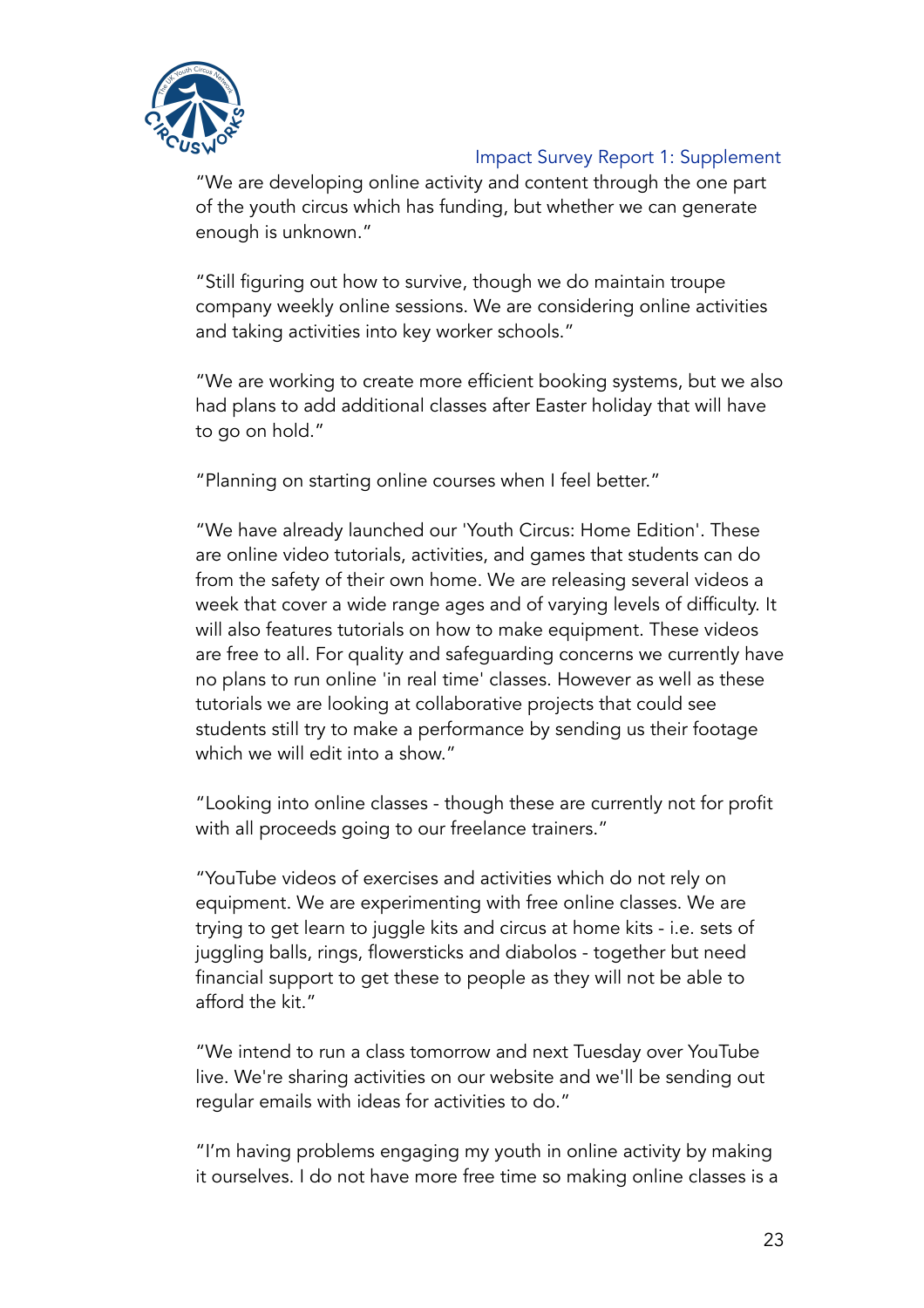

"We are developing online activity and content through the one part of the youth circus which has funding, but whether we can generate enough is unknown."

"Still figuring out how to survive, though we do maintain troupe company weekly online sessions. We are considering online activities and taking activities into key worker schools."

"We are working to create more efficient booking systems, but we also had plans to add additional classes after Easter holiday that will have to go on hold."

"Planning on starting online courses when I feel better."

"We have already launched our 'Youth Circus: Home Edition'. These are online video tutorials, activities, and games that students can do from the safety of their own home. We are releasing several videos a week that cover a wide range ages and of varying levels of difficulty. It will also features tutorials on how to make equipment. These videos are free to all. For quality and safeguarding concerns we currently have no plans to run online 'in real time' classes. However as well as these tutorials we are looking at collaborative projects that could see students still try to make a performance by sending us their footage which we will edit into a show."

"Looking into online classes - though these are currently not for profit with all proceeds going to our freelance trainers."

"YouTube videos of exercises and activities which do not rely on equipment. We are experimenting with free online classes. We are trying to get learn to juggle kits and circus at home kits - i.e. sets of juggling balls, rings, flowersticks and diabolos - together but need financial support to get these to people as they will not be able to afford the kit."

"We intend to run a class tomorrow and next Tuesday over YouTube live. We're sharing activities on our website and we'll be sending out regular emails with ideas for activities to do."

"I'm having problems engaging my youth in online activity by making it ourselves. I do not have more free time so making online classes is a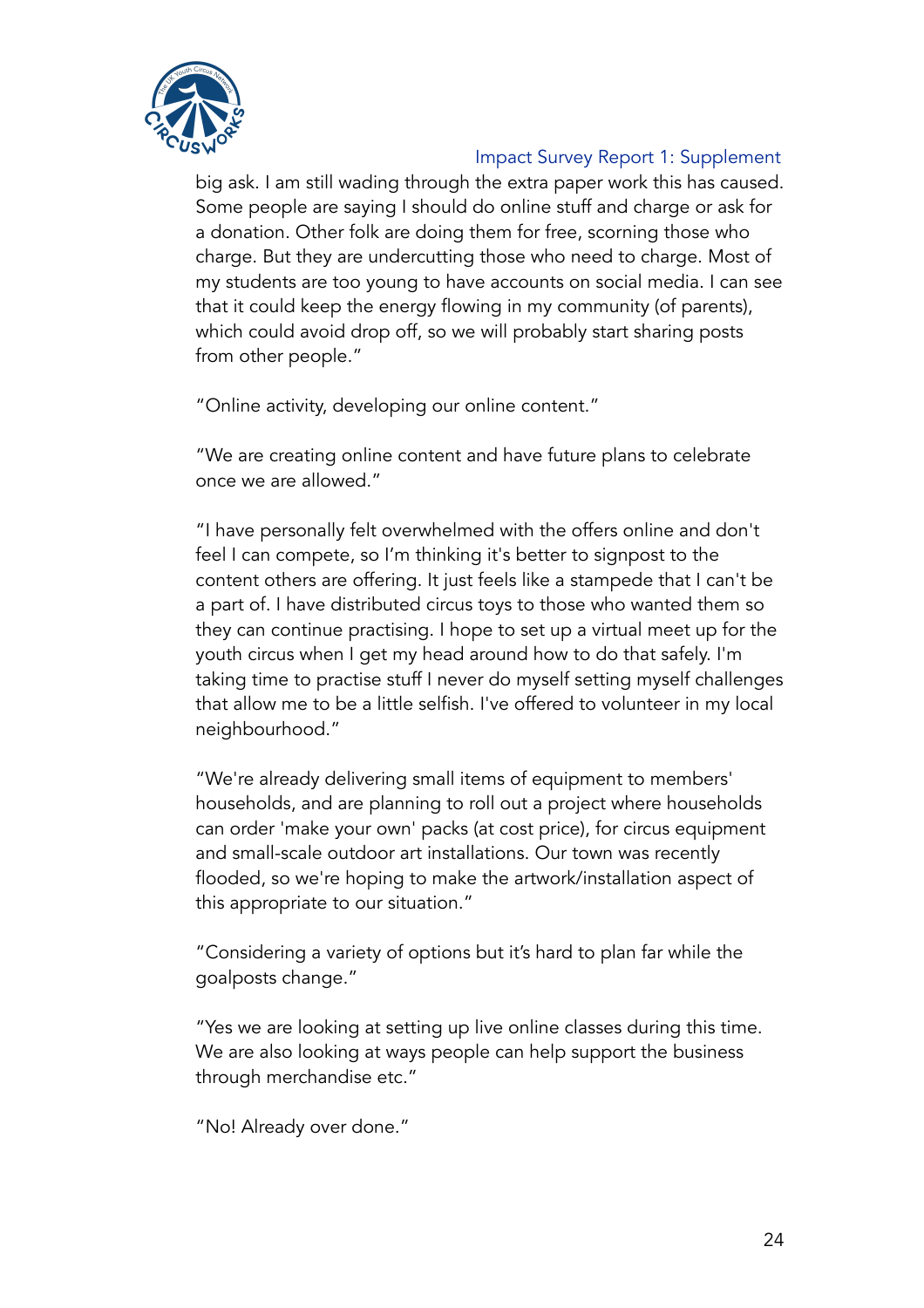

big ask. I am still wading through the extra paper work this has caused. Some people are saying I should do online stuff and charge or ask for a donation. Other folk are doing them for free, scorning those who charge. But they are undercutting those who need to charge. Most of my students are too young to have accounts on social media. I can see that it could keep the energy flowing in my community (of parents), which could avoid drop off, so we will probably start sharing posts from other people."

"Online activity, developing our online content."

"We are creating online content and have future plans to celebrate once we are allowed."

"I have personally felt overwhelmed with the offers online and don't feel I can compete, so I'm thinking it's better to signpost to the content others are offering. It just feels like a stampede that I can't be a part of. I have distributed circus toys to those who wanted them so they can continue practising. I hope to set up a virtual meet up for the youth circus when I get my head around how to do that safely. I'm taking time to practise stuff I never do myself setting myself challenges that allow me to be a little selfish. I've offered to volunteer in my local neighbourhood."

"We're already delivering small items of equipment to members' households, and are planning to roll out a project where households can order 'make your own' packs (at cost price), for circus equipment and small-scale outdoor art installations. Our town was recently flooded, so we're hoping to make the artwork/installation aspect of this appropriate to our situation."

"Considering a variety of options but it's hard to plan far while the goalposts change."

"Yes we are looking at setting up live online classes during this time. We are also looking at ways people can help support the business through merchandise etc."

"No! Already over done."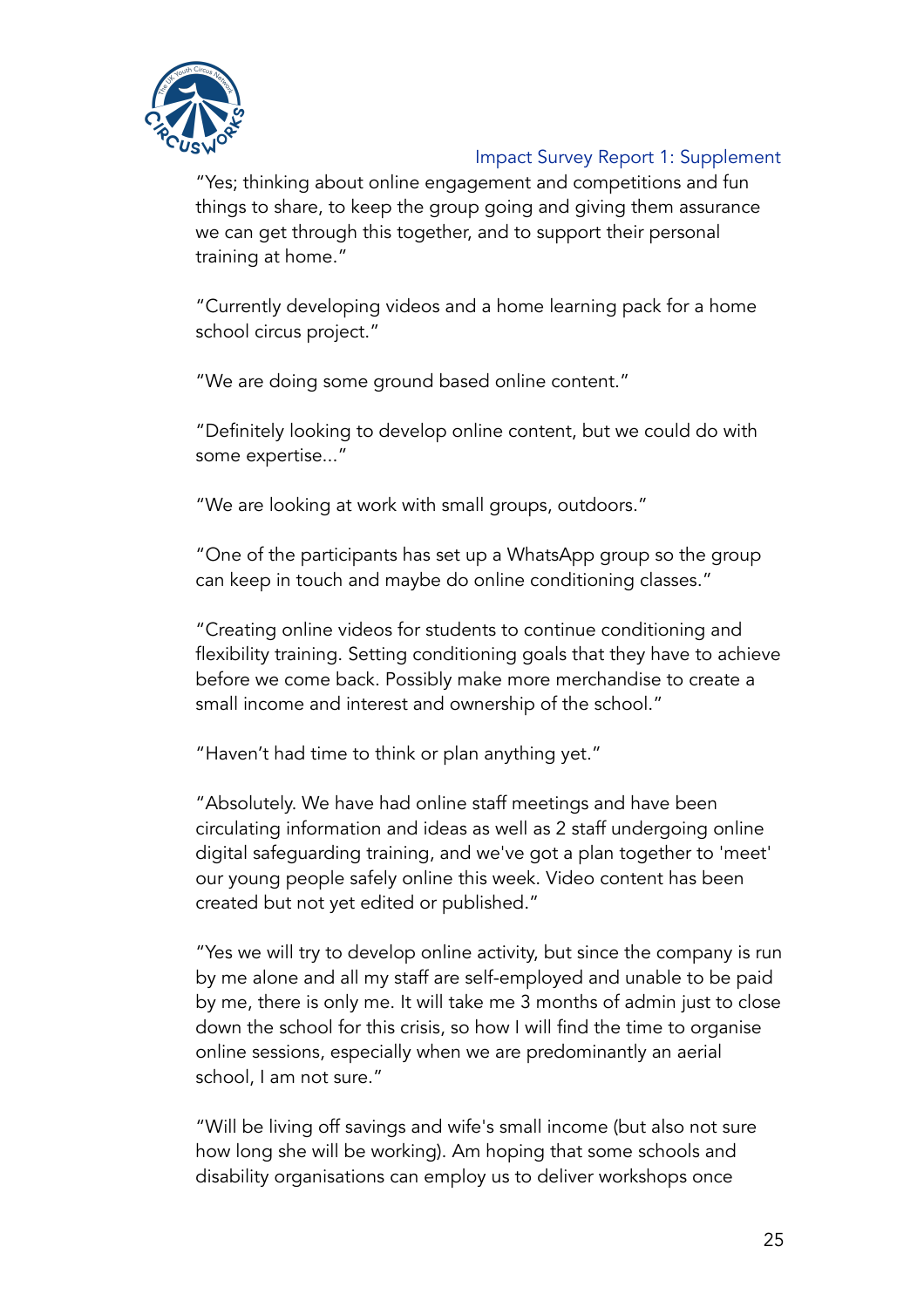

"Yes; thinking about online engagement and competitions and fun things to share, to keep the group going and giving them assurance we can get through this together, and to support their personal training at home."

"Currently developing videos and a home learning pack for a home school circus project."

"We are doing some ground based online content."

"Definitely looking to develop online content, but we could do with some expertise..."

"We are looking at work with small groups, outdoors."

"One of the participants has set up a WhatsApp group so the group can keep in touch and maybe do online conditioning classes."

"Creating online videos for students to continue conditioning and flexibility training. Setting conditioning goals that they have to achieve before we come back. Possibly make more merchandise to create a small income and interest and ownership of the school."

"Haven't had time to think or plan anything yet."

"Absolutely. We have had online staff meetings and have been circulating information and ideas as well as 2 staff undergoing online digital safeguarding training, and we've got a plan together to 'meet' our young people safely online this week. Video content has been created but not yet edited or published."

"Yes we will try to develop online activity, but since the company is run by me alone and all my staff are self-employed and unable to be paid by me, there is only me. It will take me 3 months of admin just to close down the school for this crisis, so how I will find the time to organise online sessions, especially when we are predominantly an aerial school, I am not sure."

"Will be living off savings and wife's small income (but also not sure how long she will be working). Am hoping that some schools and disability organisations can employ us to deliver workshops once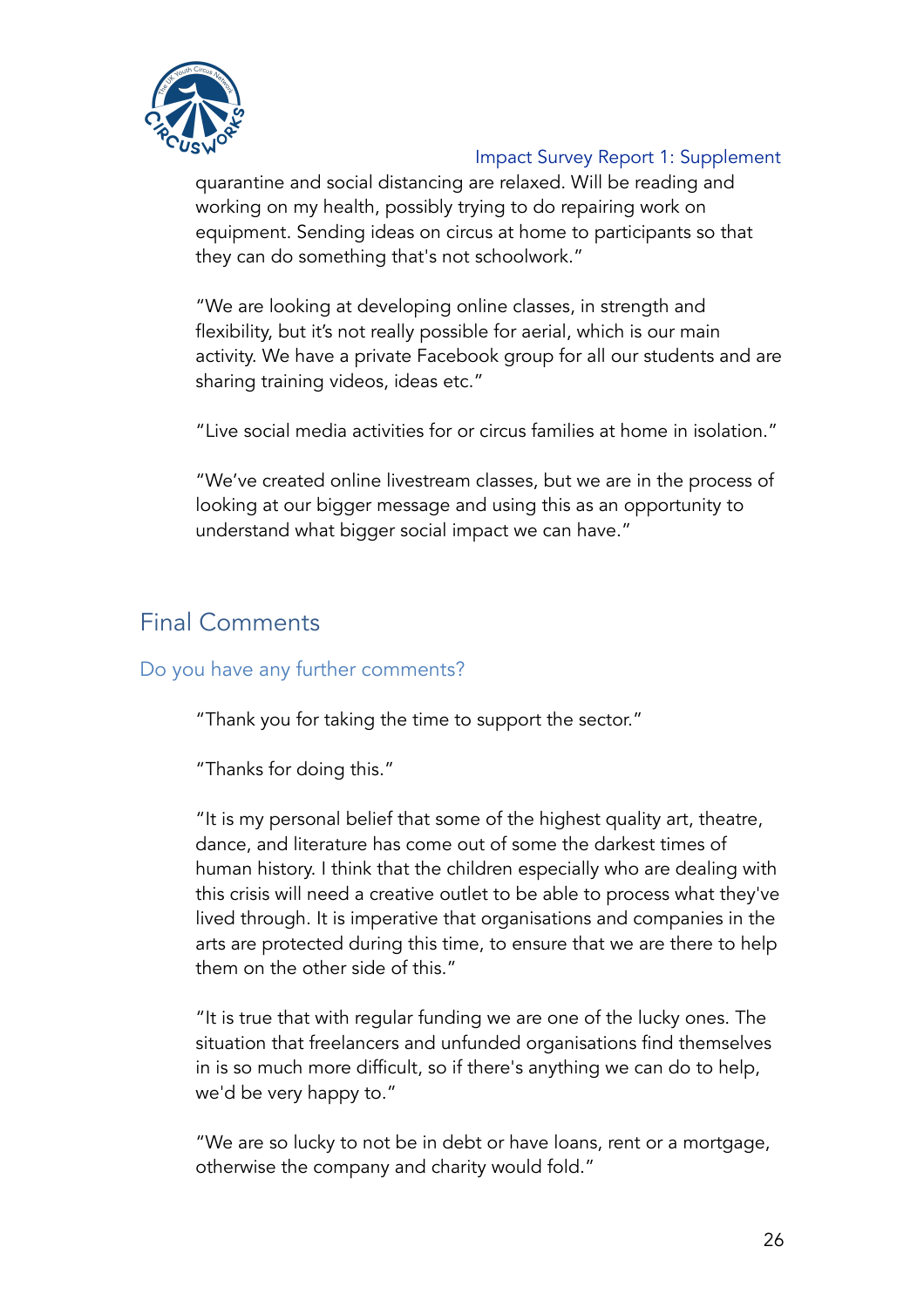

quarantine and social distancing are relaxed. Will be reading and working on my health, possibly trying to do repairing work on equipment. Sending ideas on circus at home to participants so that they can do something that's not schoolwork."

"We are looking at developing online classes, in strength and flexibility, but it's not really possible for aerial, which is our main activity. We have a private Facebook group for all our students and are sharing training videos, ideas etc."

"Live social media activities for or circus families at home in isolation."

"We've created online livestream classes, but we are in the process of looking at our bigger message and using this as an opportunity to understand what bigger social impact we can have."

## Final Comments

### Do you have any further comments?

"Thank you for taking the time to support the sector."

"Thanks for doing this."

"It is my personal belief that some of the highest quality art, theatre, dance, and literature has come out of some the darkest times of human history. I think that the children especially who are dealing with this crisis will need a creative outlet to be able to process what they've lived through. It is imperative that organisations and companies in the arts are protected during this time, to ensure that we are there to help them on the other side of this."

"It is true that with regular funding we are one of the lucky ones. The situation that freelancers and unfunded organisations find themselves in is so much more difficult, so if there's anything we can do to help, we'd be very happy to."

"We are so lucky to not be in debt or have loans, rent or a mortgage, otherwise the company and charity would fold."